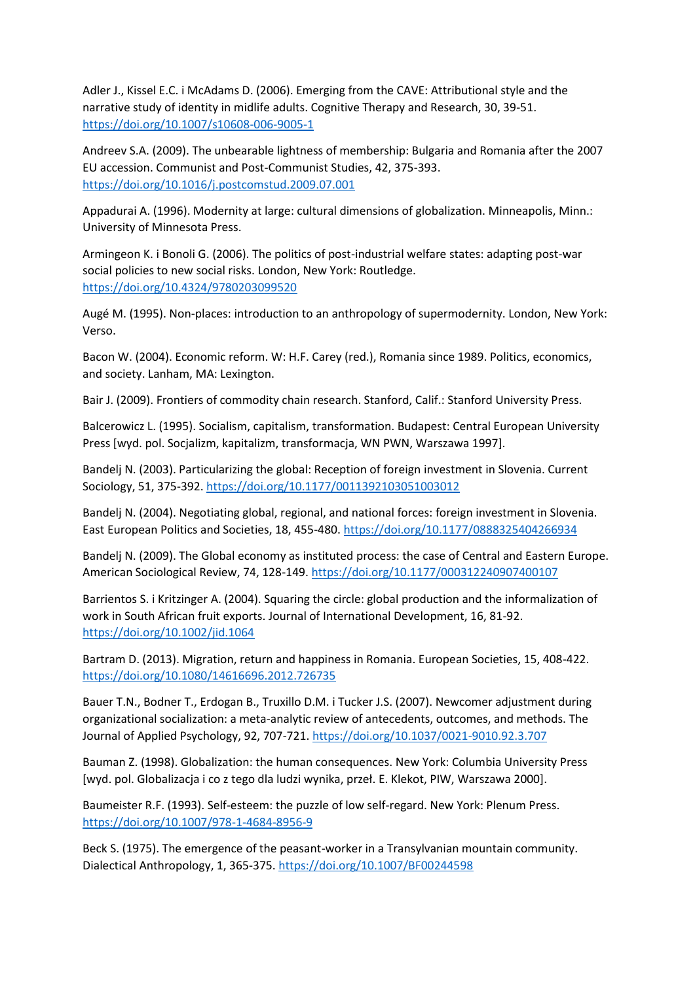Adler J., Kissel E.C. i McAdams D. (2006). Emerging from the CAVE: Attributional style and the narrative study of identity in midlife adults. Cognitive Therapy and Research, 30, 39-51. <https://doi.org/10.1007/s10608-006-9005-1>

Andreev S.A. (2009). The unbearable lightness of membership: Bulgaria and Romania after the 2007 EU accession. Communist and Post-Communist Studies, 42, 375-393. <https://doi.org/10.1016/j.postcomstud.2009.07.001>

Appadurai A. (1996). Modernity at large: cultural dimensions of globalization. Minneapolis, Minn.: University of Minnesota Press.

Armingeon K. i Bonoli G. (2006). The politics of post-industrial welfare states: adapting post-war social policies to new social risks. London, New York: Routledge. <https://doi.org/10.4324/9780203099520>

Augé M. (1995). Non-places: introduction to an anthropology of supermodernity. London, New York: Verso.

Bacon W. (2004). Economic reform. W: H.F. Carey (red.), Romania since 1989. Politics, economics, and society. Lanham, MA: Lexington.

Bair J. (2009). Frontiers of commodity chain research. Stanford, Calif.: Stanford University Press.

Balcerowicz L. (1995). Socialism, capitalism, transformation. Budapest: Central European University Press [wyd. pol. Socjalizm, kapitalizm, transformacja, WN PWN, Warszawa 1997].

Bandelj N. (2003). Particularizing the global: Reception of foreign investment in Slovenia. Current Sociology, 51, 375-392. <https://doi.org/10.1177/0011392103051003012>

Bandelj N. (2004). Negotiating global, regional, and national forces: foreign investment in Slovenia. East European Politics and Societies, 18, 455-480. <https://doi.org/10.1177/0888325404266934>

Bandelj N. (2009). The Global economy as instituted process: the case of Central and Eastern Europe. American Sociological Review, 74, 128-149. <https://doi.org/10.1177/000312240907400107>

Barrientos S. i Kritzinger A. (2004). Squaring the circle: global production and the informalization of work in South African fruit exports. Journal of International Development, 16, 81-92. <https://doi.org/10.1002/jid.1064>

Bartram D. (2013). Migration, return and happiness in Romania. European Societies, 15, 408-422. <https://doi.org/10.1080/14616696.2012.726735>

Bauer T.N., Bodner T., Erdogan B., Truxillo D.M. i Tucker J.S. (2007). Newcomer adjustment during organizational socialization: a meta-analytic review of antecedents, outcomes, and methods. The Journal of Applied Psychology, 92, 707-721. <https://doi.org/10.1037/0021-9010.92.3.707>

Bauman Z. (1998). Globalization: the human consequences. New York: Columbia University Press [wyd. pol. Globalizacja i co z tego dla ludzi wynika, przeł. E. Klekot, PIW, Warszawa 2000].

Baumeister R.F. (1993). Self-esteem: the puzzle of low self-regard. New York: Plenum Press. <https://doi.org/10.1007/978-1-4684-8956-9>

Beck S. (1975). The emergence of the peasant-worker in a Transylvanian mountain community. Dialectical Anthropology, 1, 365-375. <https://doi.org/10.1007/BF00244598>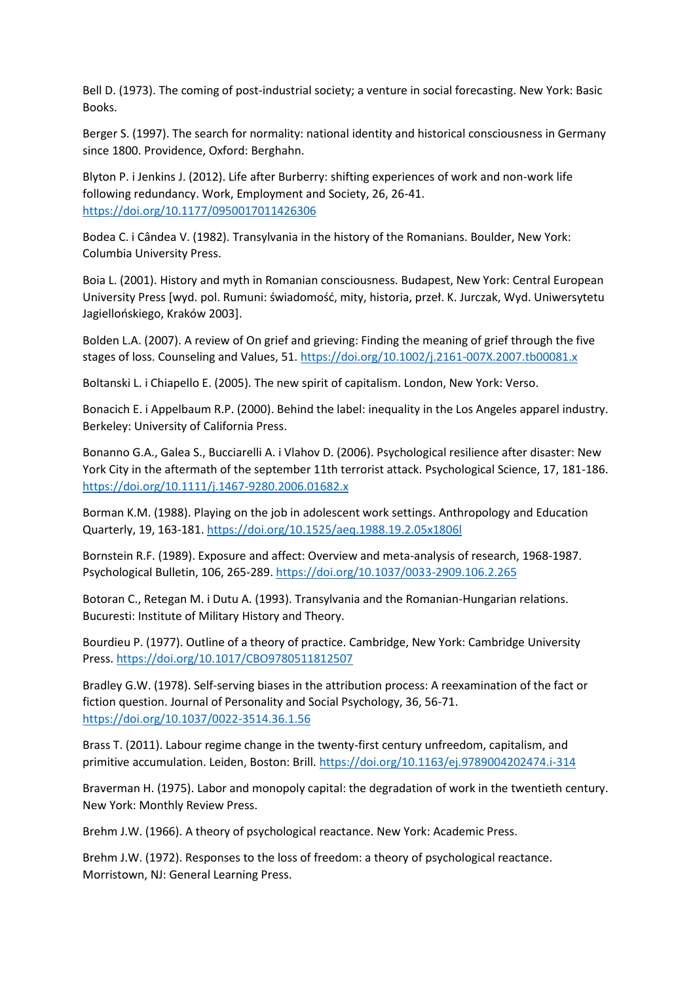Bell D. (1973). The coming of post-industrial society; a venture in social forecasting. New York: Basic Books.

Berger S. (1997). The search for normality: national identity and historical consciousness in Germany since 1800. Providence, Oxford: Berghahn.

Blyton P. i Jenkins J. (2012). Life after Burberry: shifting experiences of work and non-work life following redundancy. Work, Employment and Society, 26, 26-41. <https://doi.org/10.1177/0950017011426306>

Bodea C. i Cândea V. (1982). Transylvania in the history of the Romanians. Boulder, New York: Columbia University Press.

Boia L. (2001). History and myth in Romanian consciousness. Budapest, New York: Central European University Press [wyd. pol. Rumuni: świadomość, mity, historia, przeł. K. Jurczak, Wyd. Uniwersytetu Jagiellońskiego, Kraków 2003].

Bolden L.A. (2007). A review of On grief and grieving: Finding the meaning of grief through the five stages of loss. Counseling and Values, 51. <https://doi.org/10.1002/j.2161-007X.2007.tb00081.x>

Boltanski L. i Chiapello E. (2005). The new spirit of capitalism. London, New York: Verso.

Bonacich E. i Appelbaum R.P. (2000). Behind the label: inequality in the Los Angeles apparel industry. Berkeley: University of California Press.

Bonanno G.A., Galea S., Bucciarelli A. i Vlahov D. (2006). Psychological resilience after disaster: New York City in the aftermath of the september 11th terrorist attack. Psychological Science, 17, 181-186. <https://doi.org/10.1111/j.1467-9280.2006.01682.x>

Borman K.M. (1988). Playing on the job in adolescent work settings. Anthropology and Education Quarterly, 19, 163-181. <https://doi.org/10.1525/aeq.1988.19.2.05x1806l>

Bornstein R.F. (1989). Exposure and affect: Overview and meta-analysis of research, 1968-1987. Psychological Bulletin, 106, 265-289. <https://doi.org/10.1037/0033-2909.106.2.265>

Botoran C., Retegan M. i Dutu A. (1993). Transylvania and the Romanian-Hungarian relations. Bucuresti: Institute of Military History and Theory.

Bourdieu P. (1977). Outline of a theory of practice. Cambridge, New York: Cambridge University Press. <https://doi.org/10.1017/CBO9780511812507>

Bradley G.W. (1978). Self-serving biases in the attribution process: A reexamination of the fact or fiction question. Journal of Personality and Social Psychology, 36, 56-71. <https://doi.org/10.1037/0022-3514.36.1.56>

Brass T. (2011). Labour regime change in the twenty-first century unfreedom, capitalism, and primitive accumulation. Leiden, Boston: Brill. <https://doi.org/10.1163/ej.9789004202474.i-314>

Braverman H. (1975). Labor and monopoly capital: the degradation of work in the twentieth century. New York: Monthly Review Press.

Brehm J.W. (1966). A theory of psychological reactance. New York: Academic Press.

Brehm J.W. (1972). Responses to the loss of freedom: a theory of psychological reactance. Morristown, NJ: General Learning Press.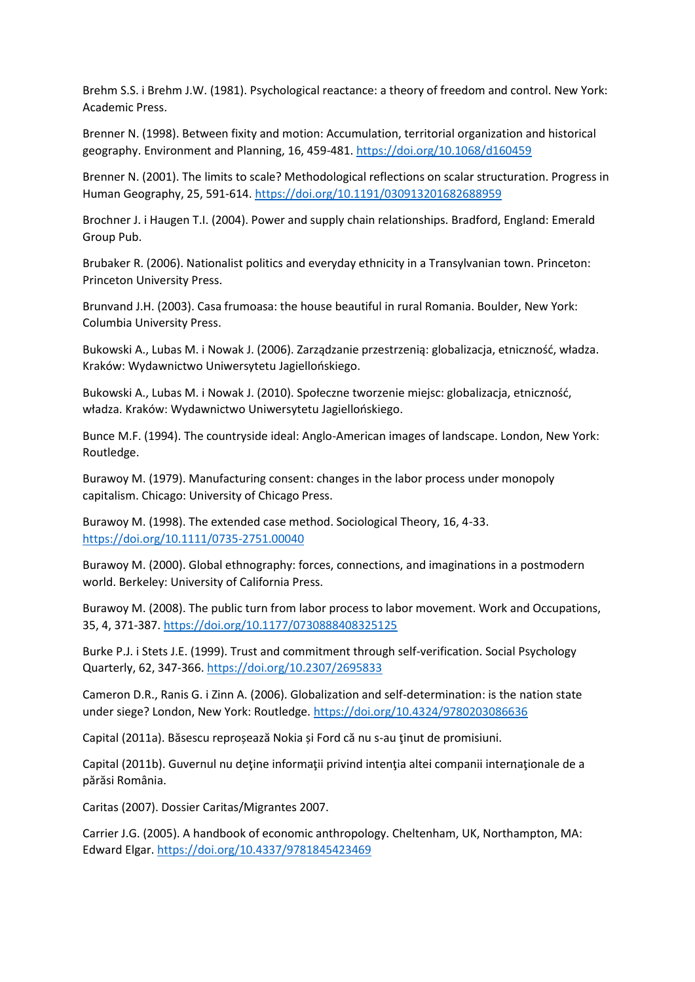Brehm S.S. i Brehm J.W. (1981). Psychological reactance: a theory of freedom and control. New York: Academic Press.

Brenner N. (1998). Between fixity and motion: Accumulation, territorial organization and historical geography. Environment and Planning, 16, 459-481. <https://doi.org/10.1068/d160459>

Brenner N. (2001). The limits to scale? Methodological reflections on scalar structuration. Progress in Human Geography, 25, 591-614. <https://doi.org/10.1191/030913201682688959>

Brochner J. i Haugen T.I. (2004). Power and supply chain relationships. Bradford, England: Emerald Group Pub.

Brubaker R. (2006). Nationalist politics and everyday ethnicity in a Transylvanian town. Princeton: Princeton University Press.

Brunvand J.H. (2003). Casa frumoasa: the house beautiful in rural Romania. Boulder, New York: Columbia University Press.

Bukowski A., Lubas M. i Nowak J. (2006). Zarządzanie przestrzenią: globalizacja, etniczność, władza. Kraków: Wydawnictwo Uniwersytetu Jagiellońskiego.

Bukowski A., Lubas M. i Nowak J. (2010). Społeczne tworzenie miejsc: globalizacja, etniczność, władza. Kraków: Wydawnictwo Uniwersytetu Jagiellońskiego.

Bunce M.F. (1994). The countryside ideal: Anglo-American images of landscape. London, New York: Routledge.

Burawoy M. (1979). Manufacturing consent: changes in the labor process under monopoly capitalism. Chicago: University of Chicago Press.

Burawoy M. (1998). The extended case method. Sociological Theory, 16, 4-33. <https://doi.org/10.1111/0735-2751.00040>

Burawoy M. (2000). Global ethnography: forces, connections, and imaginations in a postmodern world. Berkeley: University of California Press.

Burawoy M. (2008). The public turn from labor process to labor movement. Work and Occupations, 35, 4, 371-387. <https://doi.org/10.1177/0730888408325125>

Burke P.J. i Stets J.E. (1999). Trust and commitment through self-verification. Social Psychology Quarterly, 62, 347-366. <https://doi.org/10.2307/2695833>

Cameron D.R., Ranis G. i Zinn A. (2006). Globalization and self-determination: is the nation state under siege? London, New York: Routledge. <https://doi.org/10.4324/9780203086636>

Capital (2011a). Băsescu reproșează Nokia și Ford că nu s-au ţinut de promisiuni.

Capital (2011b). Guvernul nu deţine informaţii privind intenţia altei companii internaţionale de a părăsi România.

Caritas (2007). Dossier Caritas/Migrantes 2007.

Carrier J.G. (2005). A handbook of economic anthropology. Cheltenham, UK, Northampton, MA: Edward Elgar. <https://doi.org/10.4337/9781845423469>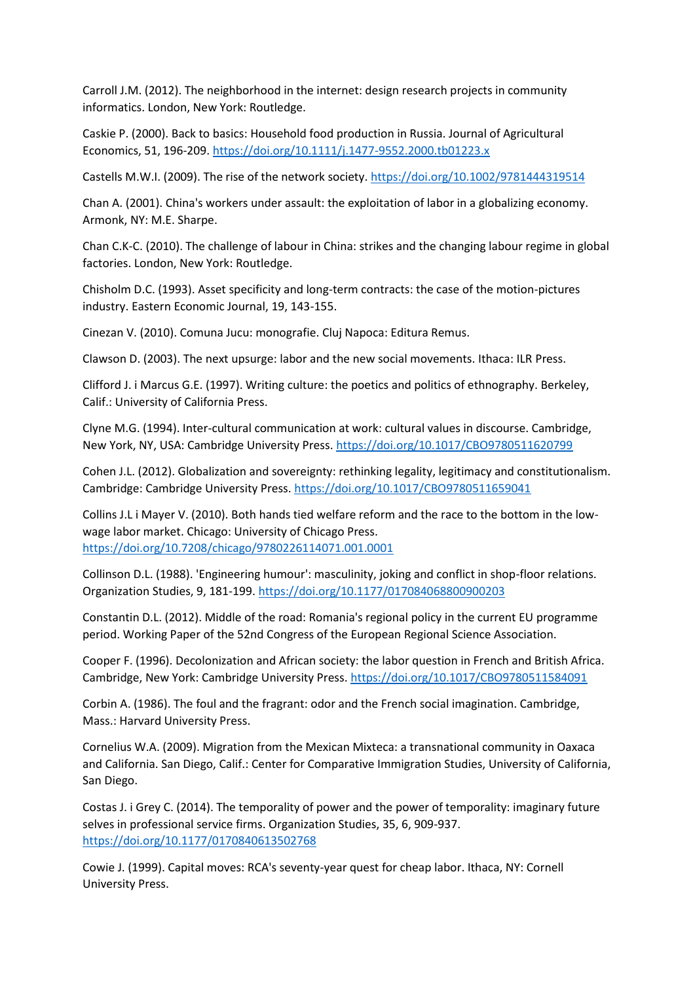Carroll J.M. (2012). The neighborhood in the internet: design research projects in community informatics. London, New York: Routledge.

Caskie P. (2000). Back to basics: Household food production in Russia. Journal of Agricultural Economics, 51, 196-209. <https://doi.org/10.1111/j.1477-9552.2000.tb01223.x>

Castells M.W.I. (2009). The rise of the network society[. https://doi.org/10.1002/9781444319514](https://doi.org/10.1002/9781444319514)

Chan A. (2001). China's workers under assault: the exploitation of labor in a globalizing economy. Armonk, NY: M.E. Sharpe.

Chan C.K-C. (2010). The challenge of labour in China: strikes and the changing labour regime in global factories. London, New York: Routledge.

Chisholm D.C. (1993). Asset specificity and long-term contracts: the case of the motion-pictures industry. Eastern Economic Journal, 19, 143-155.

Cinezan V. (2010). Comuna Jucu: monografie. Cluj Napoca: Editura Remus.

Clawson D. (2003). The next upsurge: labor and the new social movements. Ithaca: ILR Press.

Clifford J. i Marcus G.E. (1997). Writing culture: the poetics and politics of ethnography. Berkeley, Calif.: University of California Press.

Clyne M.G. (1994). Inter-cultural communication at work: cultural values in discourse. Cambridge, New York, NY, USA: Cambridge University Press. <https://doi.org/10.1017/CBO9780511620799>

Cohen J.L. (2012). Globalization and sovereignty: rethinking legality, legitimacy and constitutionalism. Cambridge: Cambridge University Press. <https://doi.org/10.1017/CBO9780511659041>

Collins J.L i Mayer V. (2010). Both hands tied welfare reform and the race to the bottom in the lowwage labor market. Chicago: University of Chicago Press. <https://doi.org/10.7208/chicago/9780226114071.001.0001>

Collinson D.L. (1988). 'Engineering humour': masculinity, joking and conflict in shop-floor relations. Organization Studies, 9, 181-199. <https://doi.org/10.1177/017084068800900203>

Constantin D.L. (2012). Middle of the road: Romania's regional policy in the current EU programme period. Working Paper of the 52nd Congress of the European Regional Science Association.

Cooper F. (1996). Decolonization and African society: the labor question in French and British Africa. Cambridge, New York: Cambridge University Press. <https://doi.org/10.1017/CBO9780511584091>

Corbin A. (1986). The foul and the fragrant: odor and the French social imagination. Cambridge, Mass.: Harvard University Press.

Cornelius W.A. (2009). Migration from the Mexican Mixteca: a transnational community in Oaxaca and California. San Diego, Calif.: Center for Comparative Immigration Studies, University of California, San Diego.

Costas J. i Grey C. (2014). The temporality of power and the power of temporality: imaginary future selves in professional service firms. Organization Studies, 35, 6, 909-937. <https://doi.org/10.1177/0170840613502768>

Cowie J. (1999). Capital moves: RCA's seventy-year quest for cheap labor. Ithaca, NY: Cornell University Press.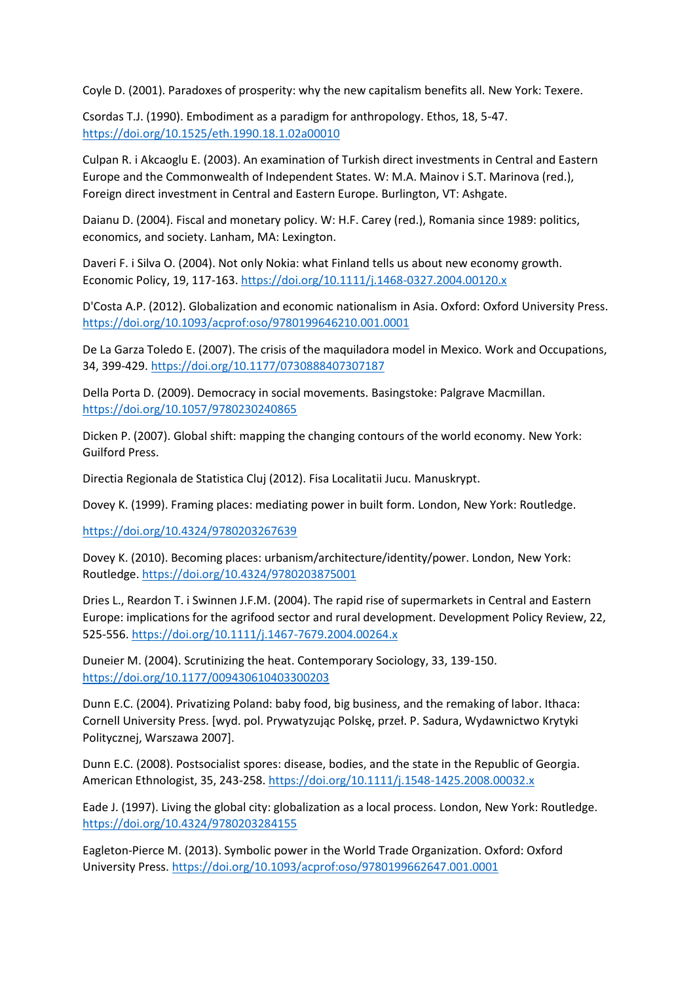Coyle D. (2001). Paradoxes of prosperity: why the new capitalism benefits all. New York: Texere.

Csordas T.J. (1990). Embodiment as a paradigm for anthropology. Ethos, 18, 5-47. <https://doi.org/10.1525/eth.1990.18.1.02a00010>

Culpan R. i Akcaoglu E. (2003). An examination of Turkish direct investments in Central and Eastern Europe and the Commonwealth of Independent States. W: M.A. Mainov i S.T. Marinova (red.), Foreign direct investment in Central and Eastern Europe. Burlington, VT: Ashgate.

Daianu D. (2004). Fiscal and monetary policy. W: H.F. Carey (red.), Romania since 1989: politics, economics, and society. Lanham, MA: Lexington.

Daveri F. i Silva O. (2004). Not only Nokia: what Finland tells us about new economy growth. Economic Policy, 19, 117-163. <https://doi.org/10.1111/j.1468-0327.2004.00120.x>

D'Costa A.P. (2012). Globalization and economic nationalism in Asia. Oxford: Oxford University Press. <https://doi.org/10.1093/acprof:oso/9780199646210.001.0001>

De La Garza Toledo E. (2007). The crisis of the maquiladora model in Mexico. Work and Occupations, 34, 399-429. <https://doi.org/10.1177/0730888407307187>

Della Porta D. (2009). Democracy in social movements. Basingstoke: Palgrave Macmillan. <https://doi.org/10.1057/9780230240865>

Dicken P. (2007). Global shift: mapping the changing contours of the world economy. New York: Guilford Press.

Directia Regionala de Statistica Cluj (2012). Fisa Localitatii Jucu. Manuskrypt.

Dovey K. (1999). Framing places: mediating power in built form. London, New York: Routledge.

<https://doi.org/10.4324/9780203267639>

Dovey K. (2010). Becoming places: urbanism/architecture/identity/power. London, New York: Routledge. <https://doi.org/10.4324/9780203875001>

Dries L., Reardon T. i Swinnen J.F.M. (2004). The rapid rise of supermarkets in Central and Eastern Europe: implications for the agrifood sector and rural development. Development Policy Review, 22, 525-556. <https://doi.org/10.1111/j.1467-7679.2004.00264.x>

Duneier M. (2004). Scrutinizing the heat. Contemporary Sociology, 33, 139-150. <https://doi.org/10.1177/009430610403300203>

Dunn E.C. (2004). Privatizing Poland: baby food, big business, and the remaking of labor. Ithaca: Cornell University Press. [wyd. pol. Prywatyzując Polskę, przeł. P. Sadura, Wydawnictwo Krytyki Politycznej, Warszawa 2007].

Dunn E.C. (2008). Postsocialist spores: disease, bodies, and the state in the Republic of Georgia. American Ethnologist, 35, 243-258. <https://doi.org/10.1111/j.1548-1425.2008.00032.x>

Eade J. (1997). Living the global city: globalization as a local process. London, New York: Routledge. <https://doi.org/10.4324/9780203284155>

Eagleton-Pierce M. (2013). Symbolic power in the World Trade Organization. Oxford: Oxford University Press. <https://doi.org/10.1093/acprof:oso/9780199662647.001.0001>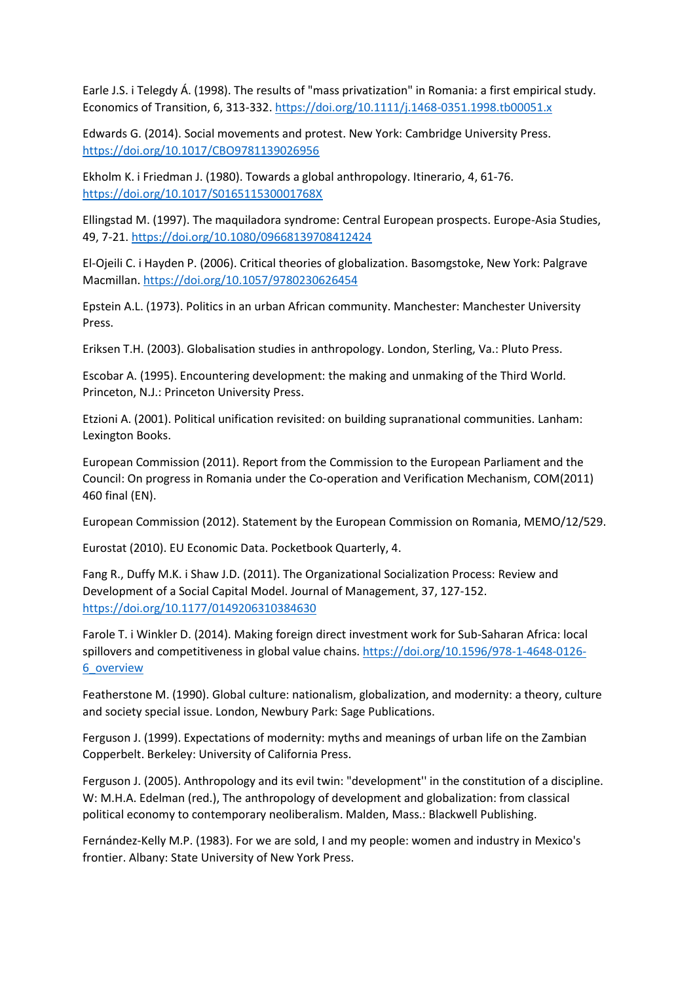Earle J.S. i Telegdy Á. (1998). The results of "mass privatization" in Romania: a first empirical study. Economics of Transition, 6, 313-332. <https://doi.org/10.1111/j.1468-0351.1998.tb00051.x>

Edwards G. (2014). Social movements and protest. New York: Cambridge University Press. <https://doi.org/10.1017/CBO9781139026956>

Ekholm K. i Friedman J. (1980). Towards a global anthropology. Itinerario, 4, 61-76. <https://doi.org/10.1017/S016511530001768X>

Ellingstad M. (1997). The maquiladora syndrome: Central European prospects. Europe-Asia Studies, 49, 7-21. <https://doi.org/10.1080/09668139708412424>

El-Ojeili C. i Hayden P. (2006). Critical theories of globalization. Basomgstoke, New York: Palgrave Macmillan. <https://doi.org/10.1057/9780230626454>

Epstein A.L. (1973). Politics in an urban African community. Manchester: Manchester University Press.

Eriksen T.H. (2003). Globalisation studies in anthropology. London, Sterling, Va.: Pluto Press.

Escobar A. (1995). Encountering development: the making and unmaking of the Third World. Princeton, N.J.: Princeton University Press.

Etzioni A. (2001). Political unification revisited: on building supranational communities. Lanham: Lexington Books.

European Commission (2011). Report from the Commission to the European Parliament and the Council: On progress in Romania under the Co-operation and Verification Mechanism, COM(2011) 460 final (EN).

European Commission (2012). Statement by the European Commission on Romania, MEMO/12/529.

Eurostat (2010). EU Economic Data. Pocketbook Quarterly, 4.

Fang R., Duffy M.K. i Shaw J.D. (2011). The Organizational Socialization Process: Review and Development of a Social Capital Model. Journal of Management, 37, 127-152. <https://doi.org/10.1177/0149206310384630>

Farole T. i Winkler D. (2014). Making foreign direct investment work for Sub-Saharan Africa: local spillovers and competitiveness in global value chains. [https://doi.org/10.1596/978-1-4648-0126-](https://doi.org/10.1596/978-1-4648-0126-6_overview) [6\\_overview](https://doi.org/10.1596/978-1-4648-0126-6_overview)

Featherstone M. (1990). Global culture: nationalism, globalization, and modernity: a theory, culture and society special issue. London, Newbury Park: Sage Publications.

Ferguson J. (1999). Expectations of modernity: myths and meanings of urban life on the Zambian Copperbelt. Berkeley: University of California Press.

Ferguson J. (2005). Anthropology and its evil twin: "development'' in the constitution of a discipline. W: M.H.A. Edelman (red.), The anthropology of development and globalization: from classical political economy to contemporary neoliberalism. Malden, Mass.: Blackwell Publishing.

Fernández-Kelly M.P. (1983). For we are sold, I and my people: women and industry in Mexico's frontier. Albany: State University of New York Press.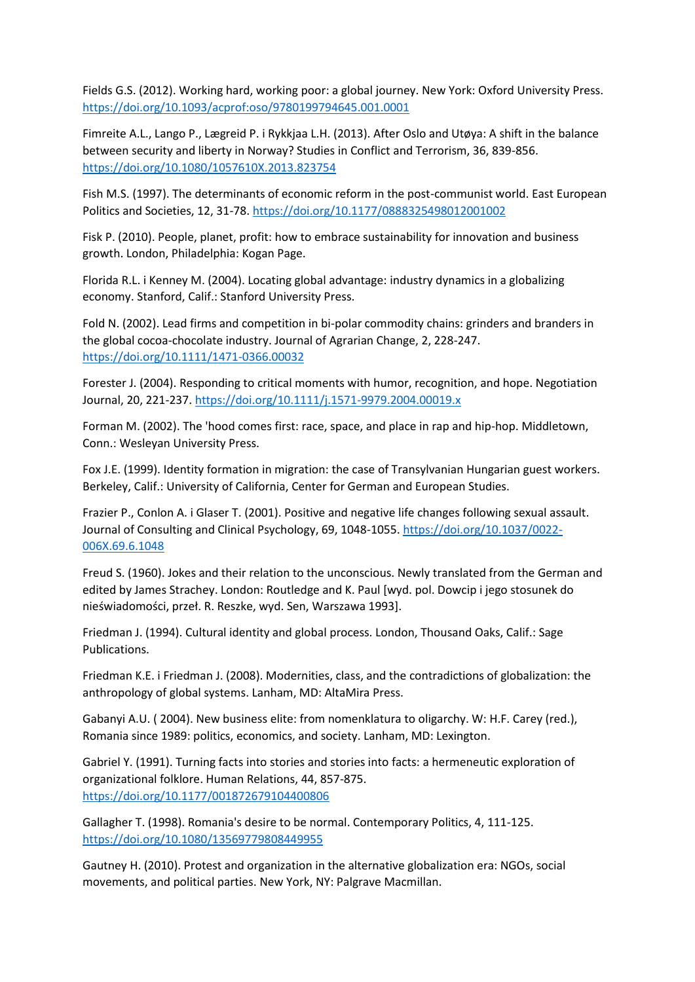Fields G.S. (2012). Working hard, working poor: a global journey. New York: Oxford University Press. <https://doi.org/10.1093/acprof:oso/9780199794645.001.0001>

Fimreite A.L., Lango P., Lægreid P. i Rykkjaa L.H. (2013). After Oslo and Utøya: A shift in the balance between security and liberty in Norway? Studies in Conflict and Terrorism, 36, 839-856. <https://doi.org/10.1080/1057610X.2013.823754>

Fish M.S. (1997). The determinants of economic reform in the post-communist world. East European Politics and Societies, 12, 31-78. <https://doi.org/10.1177/0888325498012001002>

Fisk P. (2010). People, planet, profit: how to embrace sustainability for innovation and business growth. London, Philadelphia: Kogan Page.

Florida R.L. i Kenney M. (2004). Locating global advantage: industry dynamics in a globalizing economy. Stanford, Calif.: Stanford University Press.

Fold N. (2002). Lead firms and competition in bi-polar commodity chains: grinders and branders in the global cocoa-chocolate industry. Journal of Agrarian Change, 2, 228-247. <https://doi.org/10.1111/1471-0366.00032>

Forester J. (2004). Responding to critical moments with humor, recognition, and hope. Negotiation Journal, 20, 221-237. <https://doi.org/10.1111/j.1571-9979.2004.00019.x>

Forman M. (2002). The 'hood comes first: race, space, and place in rap and hip-hop. Middletown, Conn.: Wesleyan University Press.

Fox J.E. (1999). Identity formation in migration: the case of Transylvanian Hungarian guest workers. Berkeley, Calif.: University of California, Center for German and European Studies.

Frazier P., Conlon A. i Glaser T. (2001). Positive and negative life changes following sexual assault. Journal of Consulting and Clinical Psychology, 69, 1048-1055. [https://doi.org/10.1037/0022-](https://doi.org/10.1037/0022-006X.69.6.1048) [006X.69.6.1048](https://doi.org/10.1037/0022-006X.69.6.1048)

Freud S. (1960). Jokes and their relation to the unconscious. Newly translated from the German and edited by James Strachey. London: Routledge and K. Paul [wyd. pol. Dowcip i jego stosunek do nieświadomości, przeł. R. Reszke, wyd. Sen, Warszawa 1993].

Friedman J. (1994). Cultural identity and global process. London, Thousand Oaks, Calif.: Sage Publications.

Friedman K.E. i Friedman J. (2008). Modernities, class, and the contradictions of globalization: the anthropology of global systems. Lanham, MD: AltaMira Press.

Gabanyi A.U. ( 2004). New business elite: from nomenklatura to oligarchy. W: H.F. Carey (red.), Romania since 1989: politics, economics, and society. Lanham, MD: Lexington.

Gabriel Y. (1991). Turning facts into stories and stories into facts: a hermeneutic exploration of organizational folklore. Human Relations, 44, 857-875. <https://doi.org/10.1177/001872679104400806>

Gallagher T. (1998). Romania's desire to be normal. Contemporary Politics, 4, 111-125. <https://doi.org/10.1080/13569779808449955>

Gautney H. (2010). Protest and organization in the alternative globalization era: NGOs, social movements, and political parties. New York, NY: Palgrave Macmillan.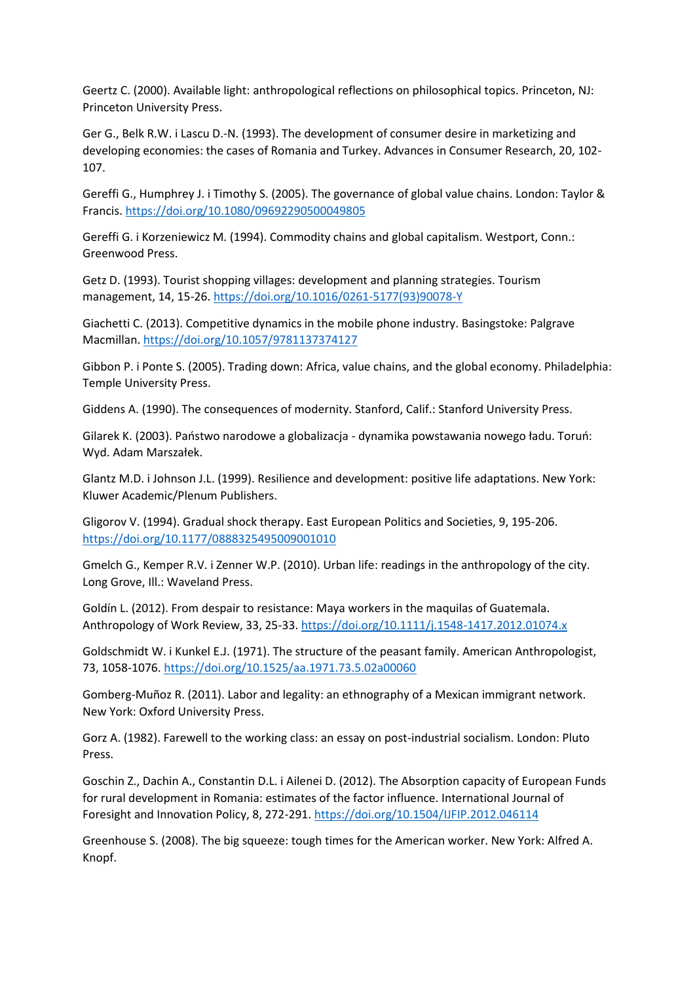Geertz C. (2000). Available light: anthropological reflections on philosophical topics. Princeton, NJ: Princeton University Press.

Ger G., Belk R.W. i Lascu D.-N. (1993). The development of consumer desire in marketizing and developing economies: the cases of Romania and Turkey. Advances in Consumer Research, 20, 102- 107.

Gereffi G., Humphrey J. i Timothy S. (2005). The governance of global value chains. London: Taylor & Francis. <https://doi.org/10.1080/09692290500049805>

Gereffi G. i Korzeniewicz M. (1994). Commodity chains and global capitalism. Westport, Conn.: Greenwood Press.

Getz D. (1993). Tourist shopping villages: development and planning strategies. Tourism management, 14, 15-26. [https://doi.org/10.1016/0261-5177\(93\)90078-Y](https://doi.org/10.1016/0261-5177(93)90078-Y)

Giachetti C. (2013). Competitive dynamics in the mobile phone industry. Basingstoke: Palgrave Macmillan. <https://doi.org/10.1057/9781137374127>

Gibbon P. i Ponte S. (2005). Trading down: Africa, value chains, and the global economy. Philadelphia: Temple University Press.

Giddens A. (1990). The consequences of modernity. Stanford, Calif.: Stanford University Press.

Gilarek K. (2003). Państwo narodowe a globalizacja - dynamika powstawania nowego ładu. Toruń: Wyd. Adam Marszałek.

Glantz M.D. i Johnson J.L. (1999). Resilience and development: positive life adaptations. New York: Kluwer Academic/Plenum Publishers.

Gligorov V. (1994). Gradual shock therapy. East European Politics and Societies, 9, 195-206. <https://doi.org/10.1177/0888325495009001010>

Gmelch G., Kemper R.V. i Zenner W.P. (2010). Urban life: readings in the anthropology of the city. Long Grove, Ill.: Waveland Press.

Goldín L. (2012). From despair to resistance: Maya workers in the maquilas of Guatemala. Anthropology of Work Review, 33, 25-33. <https://doi.org/10.1111/j.1548-1417.2012.01074.x>

Goldschmidt W. i Kunkel E.J. (1971). The structure of the peasant family. American Anthropologist, 73, 1058-1076. <https://doi.org/10.1525/aa.1971.73.5.02a00060>

Gomberg-Muñoz R. (2011). Labor and legality: an ethnography of a Mexican immigrant network. New York: Oxford University Press.

Gorz A. (1982). Farewell to the working class: an essay on post-industrial socialism. London: Pluto Press.

Goschin Z., Dachin A., Constantin D.L. i Ailenei D. (2012). The Absorption capacity of European Funds for rural development in Romania: estimates of the factor influence. International Journal of Foresight and Innovation Policy, 8, 272-291. <https://doi.org/10.1504/IJFIP.2012.046114>

Greenhouse S. (2008). The big squeeze: tough times for the American worker. New York: Alfred A. Knopf.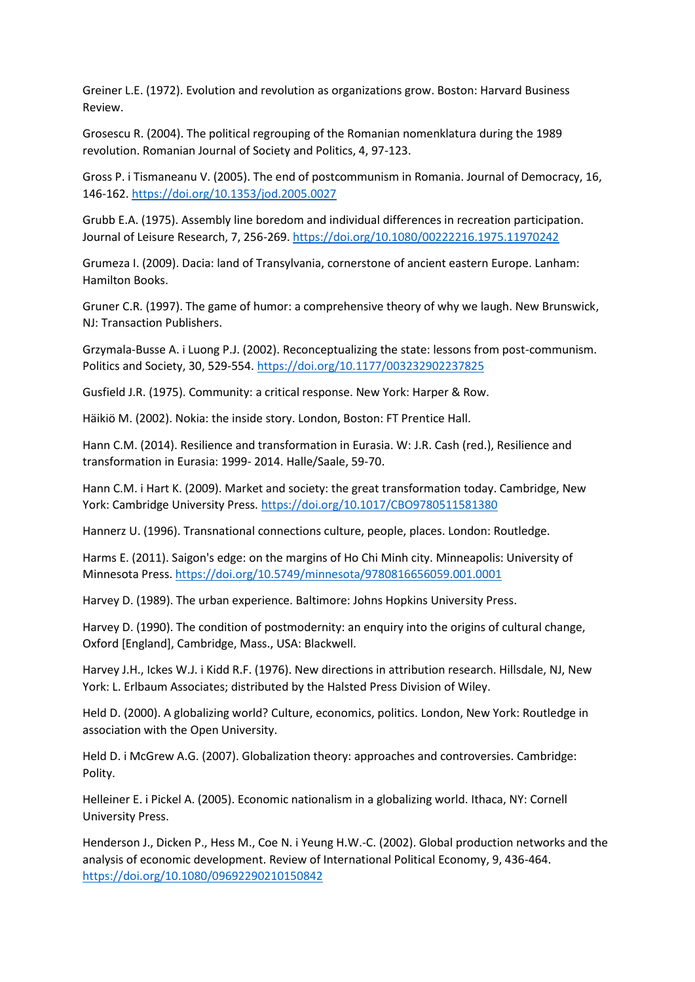Greiner L.E. (1972). Evolution and revolution as organizations grow. Boston: Harvard Business Review.

Grosescu R. (2004). The political regrouping of the Romanian nomenklatura during the 1989 revolution. Romanian Journal of Society and Politics, 4, 97-123.

Gross P. i Tismaneanu V. (2005). The end of postcommunism in Romania. Journal of Democracy, 16, 146-162. <https://doi.org/10.1353/jod.2005.0027>

Grubb E.A. (1975). Assembly line boredom and individual differences in recreation participation. Journal of Leisure Research, 7, 256-269. <https://doi.org/10.1080/00222216.1975.11970242>

Grumeza I. (2009). Dacia: land of Transylvania, cornerstone of ancient eastern Europe. Lanham: Hamilton Books.

Gruner C.R. (1997). The game of humor: a comprehensive theory of why we laugh. New Brunswick, NJ: Transaction Publishers.

Grzymala-Busse A. i Luong P.J. (2002). Reconceptualizing the state: lessons from post-communism. Politics and Society, 30, 529-554. <https://doi.org/10.1177/003232902237825>

Gusfield J.R. (1975). Community: a critical response. New York: Harper & Row.

Häikiö M. (2002). Nokia: the inside story. London, Boston: FT Prentice Hall.

Hann C.M. (2014). Resilience and transformation in Eurasia. W: J.R. Cash (red.), Resilience and transformation in Eurasia: 1999- 2014. Halle/Saale, 59-70.

Hann C.M. i Hart K. (2009). Market and society: the great transformation today. Cambridge, New York: Cambridge University Press. <https://doi.org/10.1017/CBO9780511581380>

Hannerz U. (1996). Transnational connections culture, people, places. London: Routledge.

Harms E. (2011). Saigon's edge: on the margins of Ho Chi Minh city. Minneapolis: University of Minnesota Press. <https://doi.org/10.5749/minnesota/9780816656059.001.0001>

Harvey D. (1989). The urban experience. Baltimore: Johns Hopkins University Press.

Harvey D. (1990). The condition of postmodernity: an enquiry into the origins of cultural change, Oxford [England], Cambridge, Mass., USA: Blackwell.

Harvey J.H., Ickes W.J. i Kidd R.F. (1976). New directions in attribution research. Hillsdale, NJ, New York: L. Erlbaum Associates; distributed by the Halsted Press Division of Wiley.

Held D. (2000). A globalizing world? Culture, economics, politics. London, New York: Routledge in association with the Open University.

Held D. i McGrew A.G. (2007). Globalization theory: approaches and controversies. Cambridge: Polity.

Helleiner E. i Pickel A. (2005). Economic nationalism in a globalizing world. Ithaca, NY: Cornell University Press.

Henderson J., Dicken P., Hess M., Coe N. i Yeung H.W.-C. (2002). Global production networks and the analysis of economic development. Review of International Political Economy, 9, 436-464. <https://doi.org/10.1080/09692290210150842>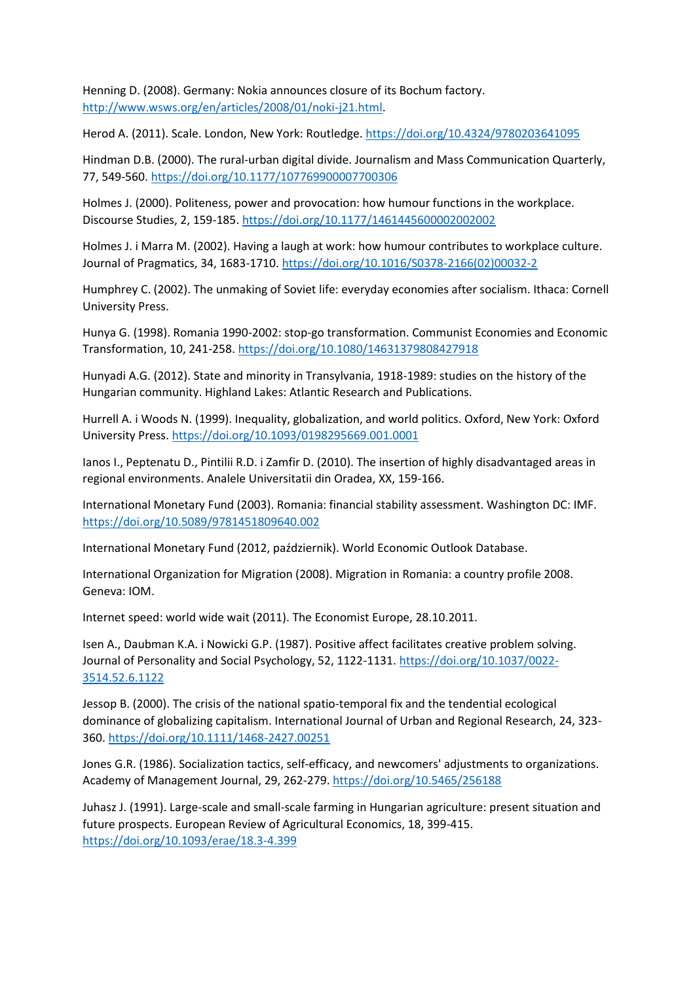Henning D. (2008). Germany: Nokia announces closure of its Bochum factory. [http://www.wsws.org/en/articles/2008/01/noki-j21.html.](http://www.wsws.org/en/articles/2008/01/noki-j21.html)

Herod A. (2011). Scale. London, New York: Routledge. <https://doi.org/10.4324/9780203641095>

Hindman D.B. (2000). The rural-urban digital divide. Journalism and Mass Communication Quarterly, 77, 549-560. <https://doi.org/10.1177/107769900007700306>

Holmes J. (2000). Politeness, power and provocation: how humour functions in the workplace. Discourse Studies, 2, 159-185. <https://doi.org/10.1177/1461445600002002002>

Holmes J. i Marra M. (2002). Having a laugh at work: how humour contributes to workplace culture. Journal of Pragmatics, 34, 1683-1710. [https://doi.org/10.1016/S0378-2166\(02\)00032-2](https://doi.org/10.1016/S0378-2166(02)00032-2)

Humphrey C. (2002). The unmaking of Soviet life: everyday economies after socialism. Ithaca: Cornell University Press.

Hunya G. (1998). Romania 1990-2002: stop-go transformation. Communist Economies and Economic Transformation, 10, 241-258. <https://doi.org/10.1080/14631379808427918>

Hunyadi A.G. (2012). State and minority in Transylvania, 1918-1989: studies on the history of the Hungarian community. Highland Lakes: Atlantic Research and Publications.

Hurrell A. i Woods N. (1999). Inequality, globalization, and world politics. Oxford, New York: Oxford University Press. <https://doi.org/10.1093/0198295669.001.0001>

Ianos I., Peptenatu D., Pintilii R.D. i Zamfir D. (2010). The insertion of highly disadvantaged areas in regional environments. Analele Universitatii din Oradea, XX, 159-166.

International Monetary Fund (2003). Romania: financial stability assessment. Washington DC: IMF. <https://doi.org/10.5089/9781451809640.002>

International Monetary Fund (2012, październik). World Economic Outlook Database.

International Organization for Migration (2008). Migration in Romania: a country profile 2008. Geneva: IOM.

Internet speed: world wide wait (2011). The Economist Europe, 28.10.2011.

Isen A., Daubman K.A. i Nowicki G.P. (1987). Positive affect facilitates creative problem solving. Journal of Personality and Social Psychology, 52, 1122-1131. [https://doi.org/10.1037/0022-](https://doi.org/10.1037/0022-3514.52.6.1122) [3514.52.6.1122](https://doi.org/10.1037/0022-3514.52.6.1122)

Jessop B. (2000). The crisis of the national spatio-temporal fix and the tendential ecological dominance of globalizing capitalism. International Journal of Urban and Regional Research, 24, 323- 360. <https://doi.org/10.1111/1468-2427.00251>

Jones G.R. (1986). Socialization tactics, self-efficacy, and newcomers' adjustments to organizations. Academy of Management Journal, 29, 262-279. <https://doi.org/10.5465/256188>

Juhasz J. (1991). Large-scale and small-scale farming in Hungarian agriculture: present situation and future prospects. European Review of Agricultural Economics, 18, 399-415. <https://doi.org/10.1093/erae/18.3-4.399>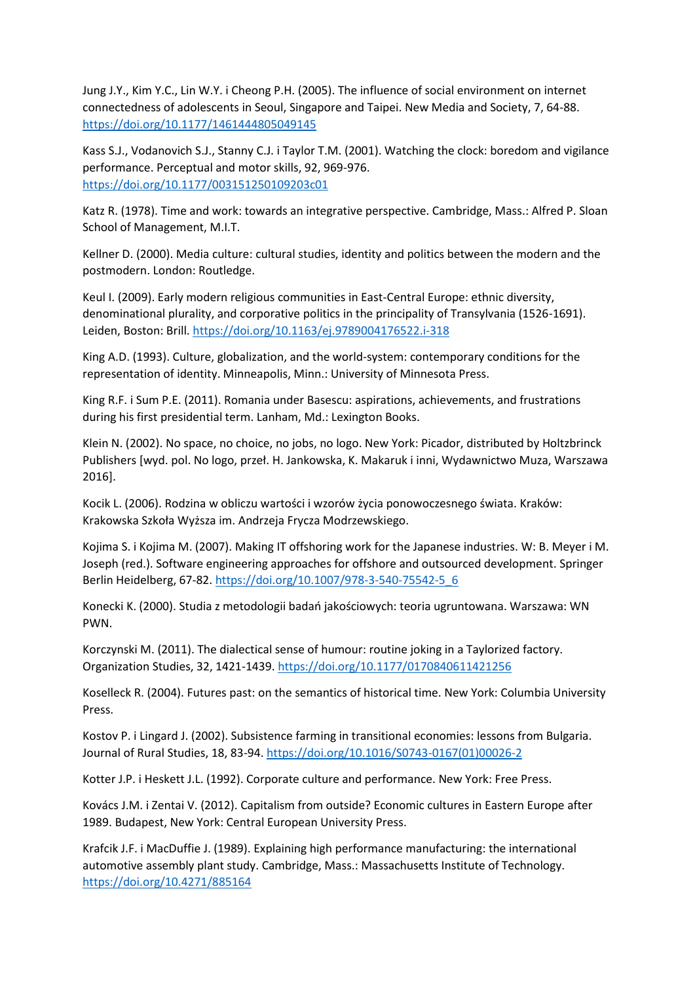Jung J.Y., Kim Y.C., Lin W.Y. i Cheong P.H. (2005). The influence of social environment on internet connectedness of adolescents in Seoul, Singapore and Taipei. New Media and Society, 7, 64-88. <https://doi.org/10.1177/1461444805049145>

Kass S.J., Vodanovich S.J., Stanny C.J. i Taylor T.M. (2001). Watching the clock: boredom and vigilance performance. Perceptual and motor skills, 92, 969-976. <https://doi.org/10.1177/003151250109203c01>

Katz R. (1978). Time and work: towards an integrative perspective. Cambridge, Mass.: Alfred P. Sloan School of Management, M.I.T.

Kellner D. (2000). Media culture: cultural studies, identity and politics between the modern and the postmodern. London: Routledge.

Keul I. (2009). Early modern religious communities in East-Central Europe: ethnic diversity, denominational plurality, and corporative politics in the principality of Transylvania (1526-1691). Leiden, Boston: Brill. <https://doi.org/10.1163/ej.9789004176522.i-318>

King A.D. (1993). Culture, globalization, and the world-system: contemporary conditions for the representation of identity. Minneapolis, Minn.: University of Minnesota Press.

King R.F. i Sum P.E. (2011). Romania under Basescu: aspirations, achievements, and frustrations during his first presidential term. Lanham, Md.: Lexington Books.

Klein N. (2002). No space, no choice, no jobs, no logo. New York: Picador, distributed by Holtzbrinck Publishers [wyd. pol. No logo, przeł. H. Jankowska, K. Makaruk i inni, Wydawnictwo Muza, Warszawa 2016].

Kocik L. (2006). Rodzina w obliczu wartości i wzorów życia ponowoczesnego świata. Kraków: Krakowska Szkoła Wyższa im. Andrzeja Frycza Modrzewskiego.

Kojima S. i Kojima M. (2007). Making IT offshoring work for the Japanese industries. W: B. Meyer i M. Joseph (red.). Software engineering approaches for offshore and outsourced development. Springer Berlin Heidelberg, 67-82. [https://doi.org/10.1007/978-3-540-75542-5\\_6](https://doi.org/10.1007/978-3-540-75542-5_6)

Konecki K. (2000). Studia z metodologii badań jakościowych: teoria ugruntowana. Warszawa: WN PWN.

Korczynski M. (2011). The dialectical sense of humour: routine joking in a Taylorized factory. Organization Studies, 32, 1421-1439. <https://doi.org/10.1177/0170840611421256>

Koselleck R. (2004). Futures past: on the semantics of historical time. New York: Columbia University Press.

Kostov P. i Lingard J. (2002). Subsistence farming in transitional economies: lessons from Bulgaria. Journal of Rural Studies, 18, 83-94. [https://doi.org/10.1016/S0743-0167\(01\)00026-2](https://doi.org/10.1016/S0743-0167(01)00026-2) 

Kotter J.P. i Heskett J.L. (1992). Corporate culture and performance. New York: Free Press.

Kovács J.M. i Zentai V. (2012). Capitalism from outside? Economic cultures in Eastern Europe after 1989. Budapest, New York: Central European University Press.

Krafcik J.F. i MacDuffie J. (1989). Explaining high performance manufacturing: the international automotive assembly plant study. Cambridge, Mass.: Massachusetts Institute of Technology. <https://doi.org/10.4271/885164>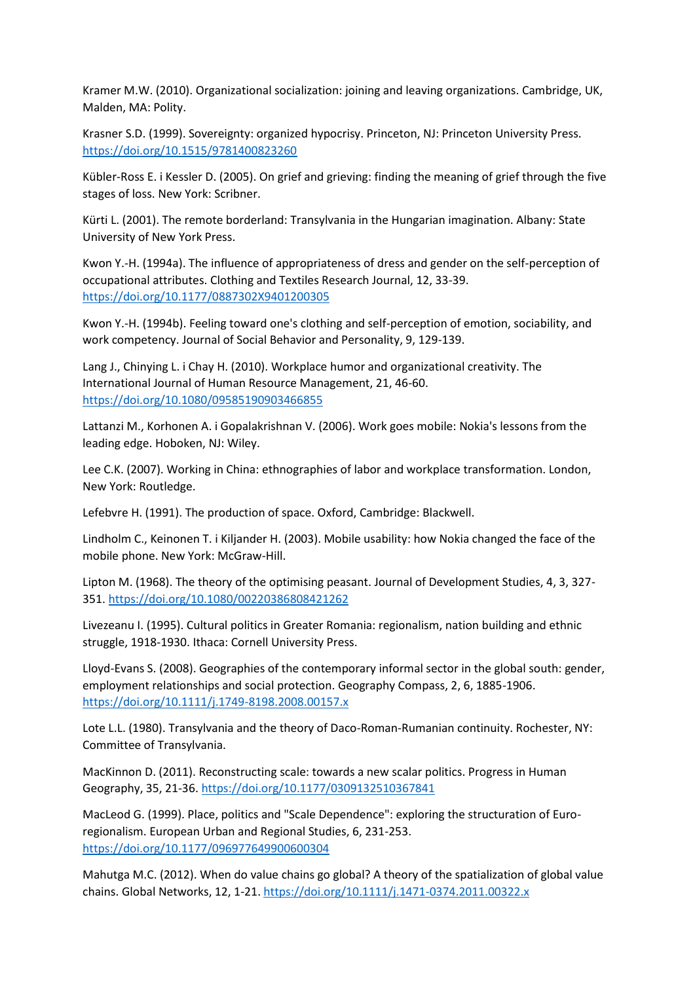Kramer M.W. (2010). Organizational socialization: joining and leaving organizations. Cambridge, UK, Malden, MA: Polity.

Krasner S.D. (1999). Sovereignty: organized hypocrisy. Princeton, NJ: Princeton University Press. <https://doi.org/10.1515/9781400823260>

Kübler-Ross E. i Kessler D. (2005). On grief and grieving: finding the meaning of grief through the five stages of loss. New York: Scribner.

Kürti L. (2001). The remote borderland: Transylvania in the Hungarian imagination. Albany: State University of New York Press.

Kwon Y.-H. (1994a). The influence of appropriateness of dress and gender on the self-perception of occupational attributes. Clothing and Textiles Research Journal, 12, 33-39. <https://doi.org/10.1177/0887302X9401200305>

Kwon Y.-H. (1994b). Feeling toward one's clothing and self-perception of emotion, sociability, and work competency. Journal of Social Behavior and Personality, 9, 129-139.

Lang J., Chinying L. i Chay H. (2010). Workplace humor and organizational creativity. The International Journal of Human Resource Management, 21, 46-60. <https://doi.org/10.1080/09585190903466855>

Lattanzi M., Korhonen A. i Gopalakrishnan V. (2006). Work goes mobile: Nokia's lessons from the leading edge. Hoboken, NJ: Wiley.

Lee C.K. (2007). Working in China: ethnographies of labor and workplace transformation. London, New York: Routledge.

Lefebvre H. (1991). The production of space. Oxford, Cambridge: Blackwell.

Lindholm C., Keinonen T. i Kiljander H. (2003). Mobile usability: how Nokia changed the face of the mobile phone. New York: McGraw-Hill.

Lipton M. (1968). The theory of the optimising peasant. Journal of Development Studies, 4, 3, 327- 351. <https://doi.org/10.1080/00220386808421262>

Livezeanu I. (1995). Cultural politics in Greater Romania: regionalism, nation building and ethnic struggle, 1918-1930. Ithaca: Cornell University Press.

Lloyd-Evans S. (2008). Geographies of the contemporary informal sector in the global south: gender, employment relationships and social protection. Geography Compass, 2, 6, 1885-1906. <https://doi.org/10.1111/j.1749-8198.2008.00157.x>

Lote L.L. (1980). Transylvania and the theory of Daco-Roman-Rumanian continuity. Rochester, NY: Committee of Transylvania.

MacKinnon D. (2011). Reconstructing scale: towards a new scalar politics. Progress in Human Geography, 35, 21-36. <https://doi.org/10.1177/0309132510367841>

MacLeod G. (1999). Place, politics and "Scale Dependence": exploring the structuration of Euroregionalism. European Urban and Regional Studies, 6, 231-253. <https://doi.org/10.1177/096977649900600304>

Mahutga M.C. (2012). When do value chains go global? A theory of the spatialization of global value chains. Global Networks, 12, 1-21. <https://doi.org/10.1111/j.1471-0374.2011.00322.x>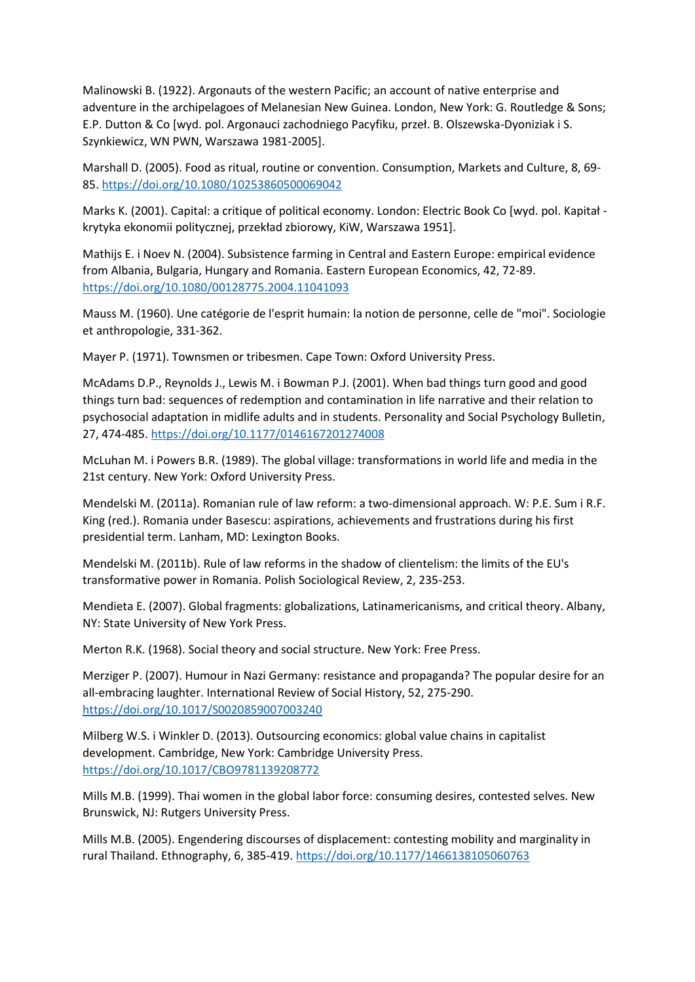Malinowski B. (1922). Argonauts of the western Pacific; an account of native enterprise and adventure in the archipelagoes of Melanesian New Guinea. London, New York: G. Routledge & Sons; E.P. Dutton & Co [wyd. pol. Argonauci zachodniego Pacyfiku, przeł. B. Olszewska-Dyoniziak i S. Szynkiewicz, WN PWN, Warszawa 1981-2005].

Marshall D. (2005). Food as ritual, routine or convention. Consumption, Markets and Culture, 8, 69- 85. <https://doi.org/10.1080/10253860500069042>

Marks K. (2001). Capital: a critique of political economy. London: Electric Book Co [wyd. pol. Kapitał krytyka ekonomii politycznej, przekład zbiorowy, KiW, Warszawa 1951].

Mathijs E. i Noev N. (2004). Subsistence farming in Central and Eastern Europe: empirical evidence from Albania, Bulgaria, Hungary and Romania. Eastern European Economics, 42, 72-89. <https://doi.org/10.1080/00128775.2004.11041093>

Mauss M. (1960). Une catégorie de l'esprit humain: la notion de personne, celle de "moi". Sociologie et anthropologie, 331-362.

Mayer P. (1971). Townsmen or tribesmen. Cape Town: Oxford University Press.

McAdams D.P., Reynolds J., Lewis M. i Bowman P.J. (2001). When bad things turn good and good things turn bad: sequences of redemption and contamination in life narrative and their relation to psychosocial adaptation in midlife adults and in students. Personality and Social Psychology Bulletin, 27, 474-485. <https://doi.org/10.1177/0146167201274008>

McLuhan M. i Powers B.R. (1989). The global village: transformations in world life and media in the 21st century. New York: Oxford University Press.

Mendelski M. (2011a). Romanian rule of law reform: a two-dimensional approach. W: P.E. Sum i R.F. King (red.). Romania under Basescu: aspirations, achievements and frustrations during his first presidential term. Lanham, MD: Lexington Books.

Mendelski M. (2011b). Rule of law reforms in the shadow of clientelism: the limits of the EU's transformative power in Romania. Polish Sociological Review, 2, 235-253.

Mendieta E. (2007). Global fragments: globalizations, Latinamericanisms, and critical theory. Albany, NY: State University of New York Press.

Merton R.K. (1968). Social theory and social structure. New York: Free Press.

Merziger P. (2007). Humour in Nazi Germany: resistance and propaganda? The popular desire for an all-embracing laughter. International Review of Social History, 52, 275-290. <https://doi.org/10.1017/S0020859007003240>

Milberg W.S. i Winkler D. (2013). Outsourcing economics: global value chains in capitalist development. Cambridge, New York: Cambridge University Press. <https://doi.org/10.1017/CBO9781139208772>

Mills M.B. (1999). Thai women in the global labor force: consuming desires, contested selves. New Brunswick, NJ: Rutgers University Press.

Mills M.B. (2005). Engendering discourses of displacement: contesting mobility and marginality in rural Thailand. Ethnography, 6, 385-419. <https://doi.org/10.1177/1466138105060763>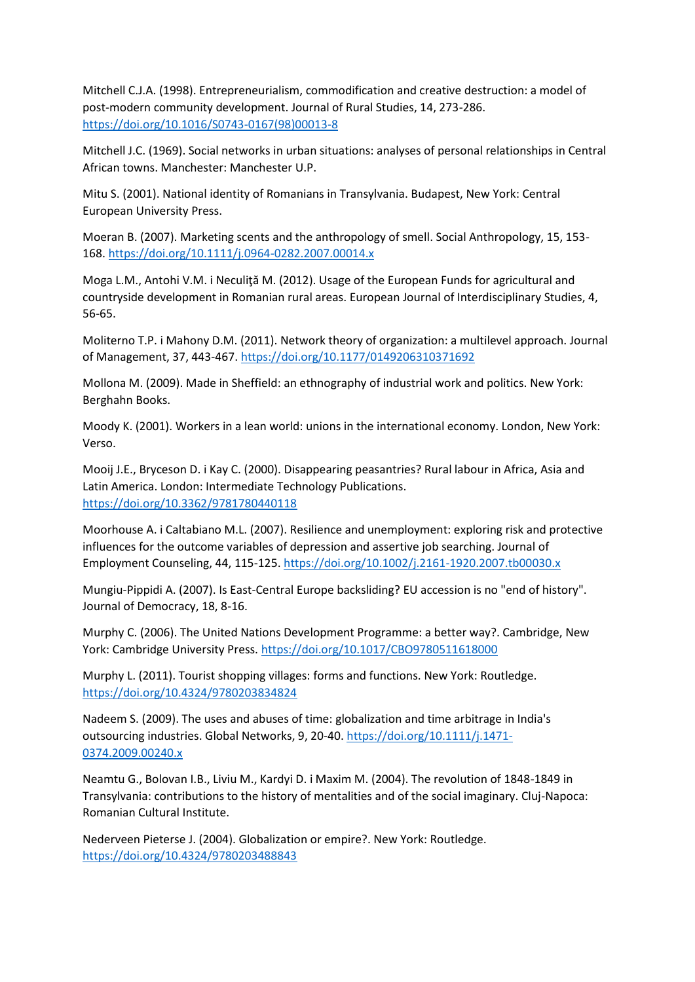Mitchell C.J.A. (1998). Entrepreneurialism, commodification and creative destruction: a model of post-modern community development. Journal of Rural Studies, 14, 273-286. [https://doi.org/10.1016/S0743-0167\(98\)00013-8](https://doi.org/10.1016/S0743-0167(98)00013-8)

Mitchell J.C. (1969). Social networks in urban situations: analyses of personal relationships in Central African towns. Manchester: Manchester U.P.

Mitu S. (2001). National identity of Romanians in Transylvania. Budapest, New York: Central European University Press.

Moeran B. (2007). Marketing scents and the anthropology of smell. Social Anthropology, 15, 153- 168. <https://doi.org/10.1111/j.0964-0282.2007.00014.x>

Moga L.M., Antohi V.M. i Neculiţă M. (2012). Usage of the European Funds for agricultural and countryside development in Romanian rural areas. European Journal of Interdisciplinary Studies, 4, 56-65.

Moliterno T.P. i Mahony D.M. (2011). Network theory of organization: a multilevel approach. Journal of Management, 37, 443-467. <https://doi.org/10.1177/0149206310371692>

Mollona M. (2009). Made in Sheffield: an ethnography of industrial work and politics. New York: Berghahn Books.

Moody K. (2001). Workers in a lean world: unions in the international economy. London, New York: Verso.

Mooij J.E., Bryceson D. i Kay C. (2000). Disappearing peasantries? Rural labour in Africa, Asia and Latin America. London: Intermediate Technology Publications. <https://doi.org/10.3362/9781780440118>

Moorhouse A. i Caltabiano M.L. (2007). Resilience and unemployment: exploring risk and protective influences for the outcome variables of depression and assertive job searching. Journal of Employment Counseling, 44, 115-125. <https://doi.org/10.1002/j.2161-1920.2007.tb00030.x>

Mungiu-Pippidi A. (2007). Is East-Central Europe backsliding? EU accession is no "end of history". Journal of Democracy, 18, 8-16.

Murphy C. (2006). The United Nations Development Programme: a better way?. Cambridge, New York: Cambridge University Press. <https://doi.org/10.1017/CBO9780511618000>

Murphy L. (2011). Tourist shopping villages: forms and functions. New York: Routledge. <https://doi.org/10.4324/9780203834824>

Nadeem S. (2009). The uses and abuses of time: globalization and time arbitrage in India's outsourcing industries. Global Networks, 9, 20-40. [https://doi.org/10.1111/j.1471-](https://doi.org/10.1111/j.1471-0374.2009.00240.x) [0374.2009.00240.x](https://doi.org/10.1111/j.1471-0374.2009.00240.x)

Neamtu G., Bolovan I.B., Liviu M., Kardyi D. i Maxim M. (2004). The revolution of 1848-1849 in Transylvania: contributions to the history of mentalities and of the social imaginary. Cluj-Napoca: Romanian Cultural Institute.

Nederveen Pieterse J. (2004). Globalization or empire?. New York: Routledge. <https://doi.org/10.4324/9780203488843>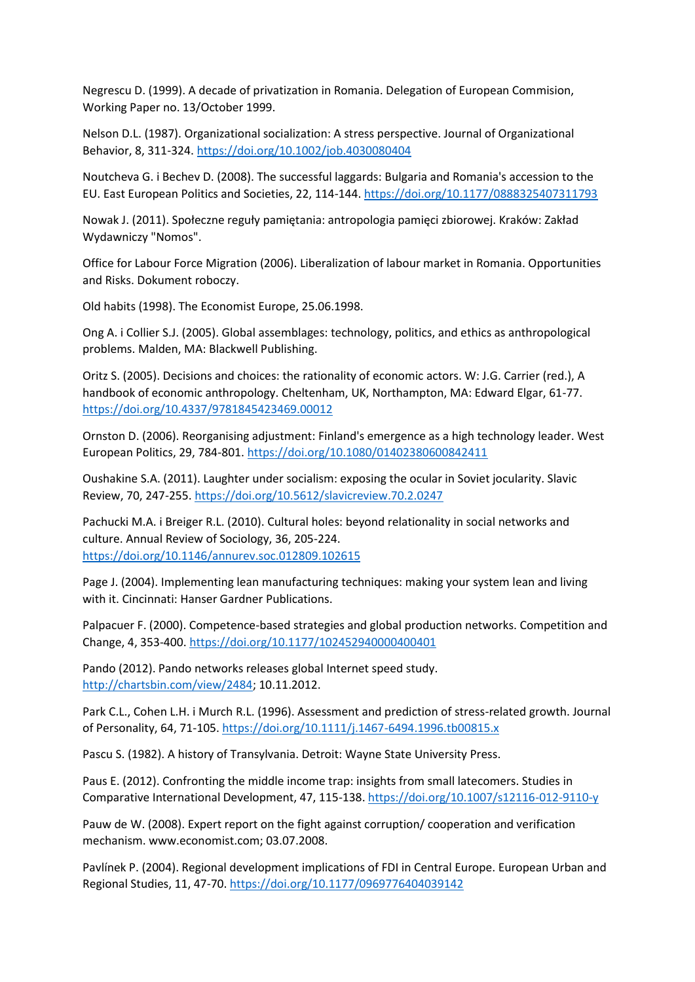Negrescu D. (1999). A decade of privatization in Romania. Delegation of European Commision, Working Paper no. 13/October 1999.

Nelson D.L. (1987). Organizational socialization: A stress perspective. Journal of Organizational Behavior, 8, 311-324. <https://doi.org/10.1002/job.4030080404>

Noutcheva G. i Bechev D. (2008). The successful laggards: Bulgaria and Romania's accession to the EU. East European Politics and Societies, 22, 114-144. <https://doi.org/10.1177/0888325407311793>

Nowak J. (2011). Społeczne reguły pamiętania: antropologia pamięci zbiorowej. Kraków: Zakład Wydawniczy "Nomos".

Office for Labour Force Migration (2006). Liberalization of labour market in Romania. Opportunities and Risks. Dokument roboczy.

Old habits (1998). The Economist Europe, 25.06.1998.

Ong A. i Collier S.J. (2005). Global assemblages: technology, politics, and ethics as anthropological problems. Malden, MA: Blackwell Publishing.

Oritz S. (2005). Decisions and choices: the rationality of economic actors. W: J.G. Carrier (red.), A handbook of economic anthropology. Cheltenham, UK, Northampton, MA: Edward Elgar, 61-77. <https://doi.org/10.4337/9781845423469.00012>

Ornston D. (2006). Reorganising adjustment: Finland's emergence as a high technology leader. West European Politics, 29, 784-801. <https://doi.org/10.1080/01402380600842411>

Oushakine S.A. (2011). Laughter under socialism: exposing the ocular in Soviet jocularity. Slavic Review, 70, 247-255. <https://doi.org/10.5612/slavicreview.70.2.0247>

Pachucki M.A. i Breiger R.L. (2010). Cultural holes: beyond relationality in social networks and culture. Annual Review of Sociology, 36, 205-224. <https://doi.org/10.1146/annurev.soc.012809.102615>

Page J. (2004). Implementing lean manufacturing techniques: making your system lean and living with it. Cincinnati: Hanser Gardner Publications.

Palpacuer F. (2000). Competence-based strategies and global production networks. Competition and Change, 4, 353-400. <https://doi.org/10.1177/102452940000400401>

Pando (2012). Pando networks releases global Internet speed study. [http://chartsbin.com/view/2484;](http://chartsbin.com/view/2484) 10.11.2012.

Park C.L., Cohen L.H. i Murch R.L. (1996). Assessment and prediction of stress-related growth. Journal of Personality, 64, 71-105. <https://doi.org/10.1111/j.1467-6494.1996.tb00815.x>

Pascu S. (1982). A history of Transylvania. Detroit: Wayne State University Press.

Paus E. (2012). Confronting the middle income trap: insights from small latecomers. Studies in Comparative International Development, 47, 115-138. <https://doi.org/10.1007/s12116-012-9110-y>

Pauw de W. (2008). Expert report on the fight against corruption/ cooperation and verification mechanism. www.economist.com; 03.07.2008.

Pavlínek P. (2004). Regional development implications of FDI in Central Europe. European Urban and Regional Studies, 11, 47-70. <https://doi.org/10.1177/0969776404039142>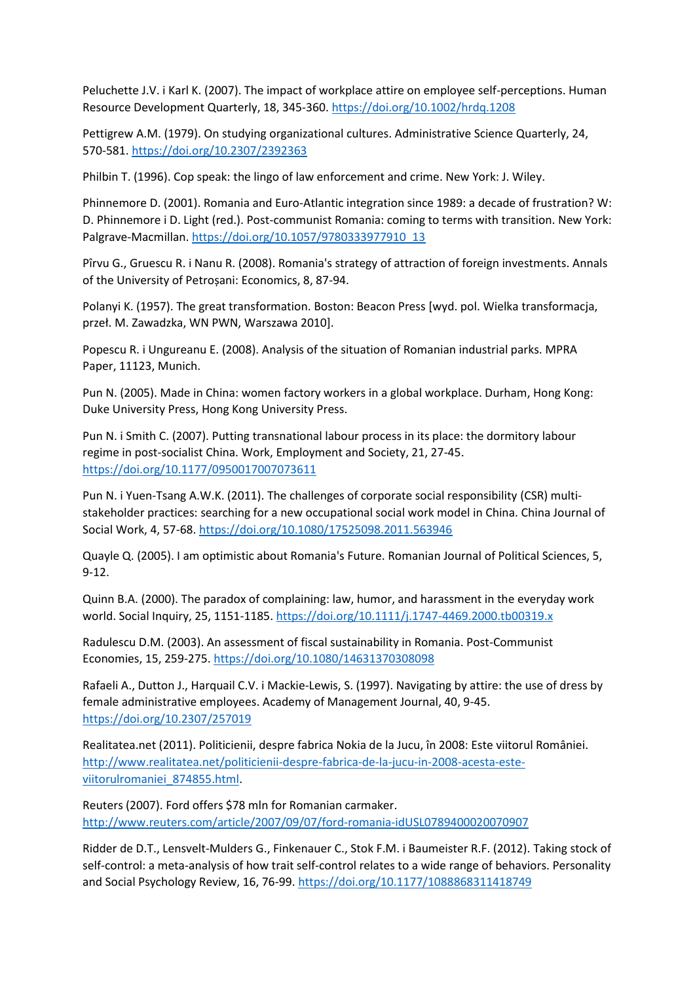Peluchette J.V. i Karl K. (2007). The impact of workplace attire on employee self-perceptions. Human Resource Development Quarterly, 18, 345-360. <https://doi.org/10.1002/hrdq.1208>

Pettigrew A.M. (1979). On studying organizational cultures. Administrative Science Quarterly, 24, 570-581. <https://doi.org/10.2307/2392363>

Philbin T. (1996). Cop speak: the lingo of law enforcement and crime. New York: J. Wiley.

Phinnemore D. (2001). Romania and Euro-Atlantic integration since 1989: a decade of frustration? W: D. Phinnemore i D. Light (red.). Post-communist Romania: coming to terms with transition. New York: Palgrave-Macmillan. [https://doi.org/10.1057/9780333977910\\_13](https://doi.org/10.1057/9780333977910_13)

Pîrvu G., Gruescu R. i Nanu R. (2008). Romania's strategy of attraction of foreign investments. Annals of the University of Petroșani: Economics, 8, 87-94.

Polanyi K. (1957). The great transformation. Boston: Beacon Press [wyd. pol. Wielka transformacja, przeł. M. Zawadzka, WN PWN, Warszawa 2010].

Popescu R. i Ungureanu E. (2008). Analysis of the situation of Romanian industrial parks. MPRA Paper, 11123, Munich.

Pun N. (2005). Made in China: women factory workers in a global workplace. Durham, Hong Kong: Duke University Press, Hong Kong University Press.

Pun N. i Smith C. (2007). Putting transnational labour process in its place: the dormitory labour regime in post-socialist China. Work, Employment and Society, 21, 27-45. <https://doi.org/10.1177/0950017007073611>

Pun N. i Yuen-Tsang A.W.K. (2011). The challenges of corporate social responsibility (CSR) multistakeholder practices: searching for a new occupational social work model in China. China Journal of Social Work, 4, 57-68. <https://doi.org/10.1080/17525098.2011.563946>

Quayle Q. (2005). I am optimistic about Romania's Future. Romanian Journal of Political Sciences, 5, 9-12.

Quinn B.A. (2000). The paradox of complaining: law, humor, and harassment in the everyday work world. Social Inquiry, 25, 1151-1185. <https://doi.org/10.1111/j.1747-4469.2000.tb00319.x>

Radulescu D.M. (2003). An assessment of fiscal sustainability in Romania. Post-Communist Economies, 15, 259-275. <https://doi.org/10.1080/14631370308098>

Rafaeli A., Dutton J., Harquail C.V. i Mackie-Lewis, S. (1997). Navigating by attire: the use of dress by female administrative employees. Academy of Management Journal, 40, 9-45. <https://doi.org/10.2307/257019>

Realitatea.net (2011). Politicienii, despre fabrica Nokia de la Jucu, în 2008: Este viitorul României. [http://www.realitatea.net/politicienii-despre-fabrica-de-la-jucu-in-2008-acesta-este](http://www.realitatea.net/politicienii-despre-fabrica-de-la-jucu-in-2008-acesta-este-viitorulromaniei_874855.html)[viitorulromaniei\\_874855.html.](http://www.realitatea.net/politicienii-despre-fabrica-de-la-jucu-in-2008-acesta-este-viitorulromaniei_874855.html)

Reuters (2007). Ford offers \$78 mln for Romanian carmaker. <http://www.reuters.com/article/2007/09/07/ford-romania-idUSL0789400020070907>

Ridder de D.T., Lensvelt-Mulders G., Finkenauer C., Stok F.M. i Baumeister R.F. (2012). Taking stock of self-control: a meta-analysis of how trait self-control relates to a wide range of behaviors. Personality and Social Psychology Review, 16, 76-99. <https://doi.org/10.1177/1088868311418749>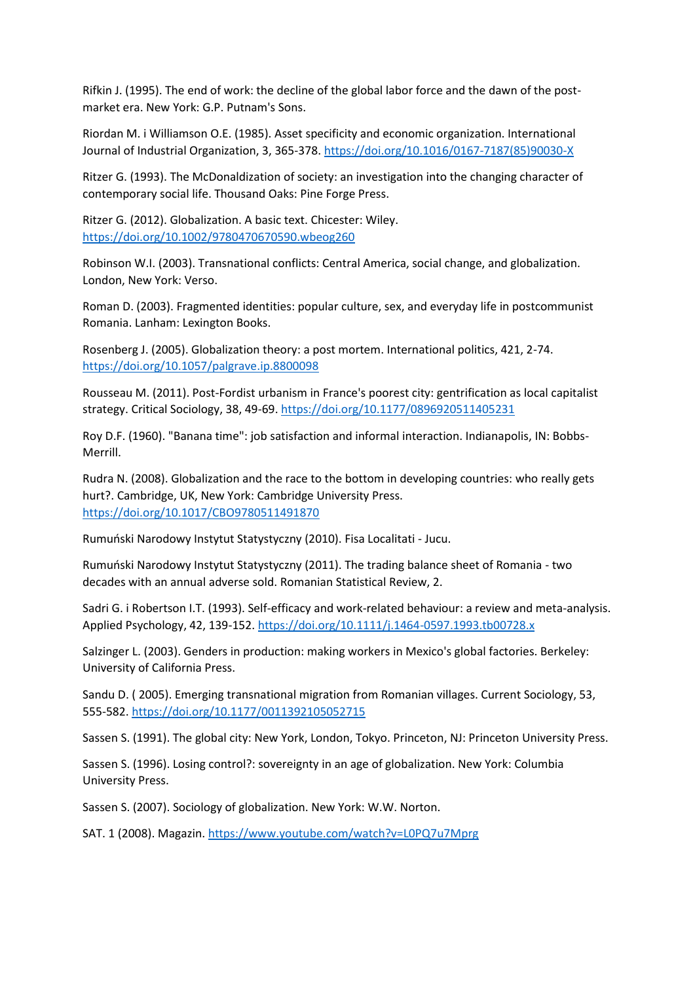Rifkin J. (1995). The end of work: the decline of the global labor force and the dawn of the postmarket era. New York: G.P. Putnam's Sons.

Riordan M. i Williamson O.E. (1985). Asset specificity and economic organization. International Journal of Industrial Organization, 3, 365-378. [https://doi.org/10.1016/0167-7187\(85\)90030-X](https://doi.org/10.1016/0167-7187(85)90030-X)

Ritzer G. (1993). The McDonaldization of society: an investigation into the changing character of contemporary social life. Thousand Oaks: Pine Forge Press.

Ritzer G. (2012). Globalization. A basic text. Chicester: Wiley. <https://doi.org/10.1002/9780470670590.wbeog260>

Robinson W.I. (2003). Transnational conflicts: Central America, social change, and globalization. London, New York: Verso.

Roman D. (2003). Fragmented identities: popular culture, sex, and everyday life in postcommunist Romania. Lanham: Lexington Books.

Rosenberg J. (2005). Globalization theory: a post mortem. International politics, 421, 2-74. <https://doi.org/10.1057/palgrave.ip.8800098>

Rousseau M. (2011). Post-Fordist urbanism in France's poorest city: gentrification as local capitalist strategy. Critical Sociology, 38, 49-69. <https://doi.org/10.1177/0896920511405231>

Roy D.F. (1960). "Banana time": job satisfaction and informal interaction. Indianapolis, IN: Bobbs-Merrill.

Rudra N. (2008). Globalization and the race to the bottom in developing countries: who really gets hurt?. Cambridge, UK, New York: Cambridge University Press. <https://doi.org/10.1017/CBO9780511491870>

Rumuński Narodowy Instytut Statystyczny (2010). Fisa Localitati - Jucu.

Rumuński Narodowy Instytut Statystyczny (2011). The trading balance sheet of Romania - two decades with an annual adverse sold. Romanian Statistical Review, 2.

Sadri G. i Robertson I.T. (1993). Self-efficacy and work-related behaviour: a review and meta-analysis. Applied Psychology, 42, 139-152. <https://doi.org/10.1111/j.1464-0597.1993.tb00728.x>

Salzinger L. (2003). Genders in production: making workers in Mexico's global factories. Berkeley: University of California Press.

Sandu D. ( 2005). Emerging transnational migration from Romanian villages. Current Sociology, 53, 555-582. <https://doi.org/10.1177/0011392105052715>

Sassen S. (1991). The global city: New York, London, Tokyo. Princeton, NJ: Princeton University Press.

Sassen S. (1996). Losing control?: sovereignty in an age of globalization. New York: Columbia University Press.

Sassen S. (2007). Sociology of globalization. New York: W.W. Norton.

SAT. 1 (2008). Magazin.<https://www.youtube.com/watch?v=L0PQ7u7Mprg>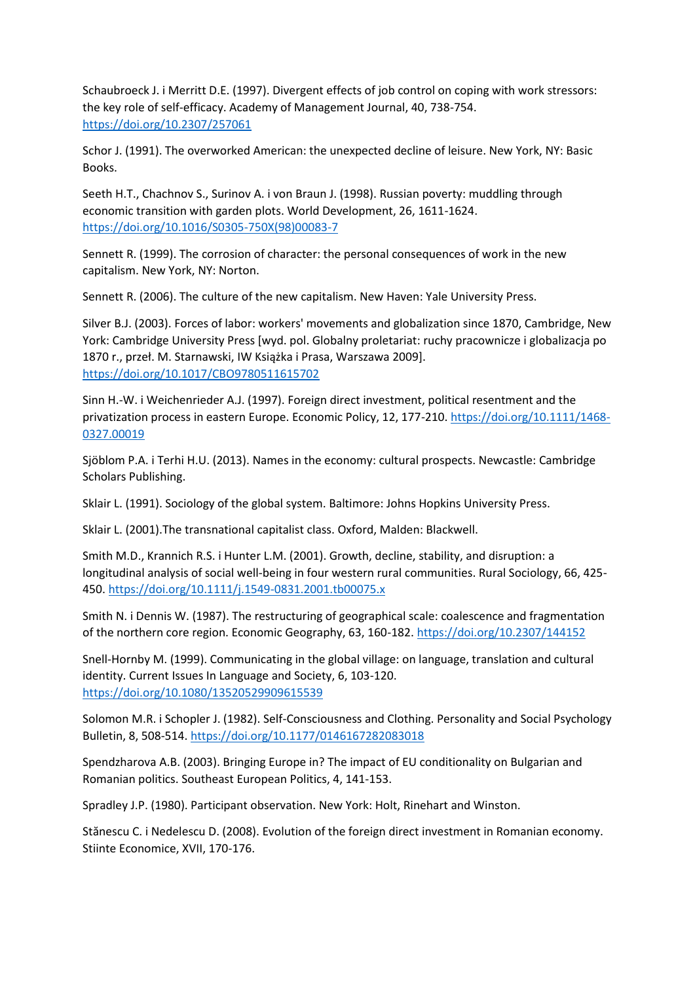Schaubroeck J. i Merritt D.E. (1997). Divergent effects of job control on coping with work stressors: the key role of self-efficacy. Academy of Management Journal, 40, 738-754. <https://doi.org/10.2307/257061>

Schor J. (1991). The overworked American: the unexpected decline of leisure. New York, NY: Basic Books.

Seeth H.T., Chachnov S., Surinov A. i von Braun J. (1998). Russian poverty: muddling through economic transition with garden plots. World Development, 26, 1611-1624. [https://doi.org/10.1016/S0305-750X\(98\)00083-7](https://doi.org/10.1016/S0305-750X(98)00083-7)

Sennett R. (1999). The corrosion of character: the personal consequences of work in the new capitalism. New York, NY: Norton.

Sennett R. (2006). The culture of the new capitalism. New Haven: Yale University Press.

Silver B.J. (2003). Forces of labor: workers' movements and globalization since 1870, Cambridge, New York: Cambridge University Press [wyd. pol. Globalny proletariat: ruchy pracownicze i globalizacja po 1870 r., przeł. M. Starnawski, IW Książka i Prasa, Warszawa 2009]. <https://doi.org/10.1017/CBO9780511615702>

Sinn H.-W. i Weichenrieder A.J. (1997). Foreign direct investment, political resentment and the privatization process in eastern Europe. Economic Policy, 12, 177-210. [https://doi.org/10.1111/1468-](https://doi.org/10.1111/1468-0327.00019) [0327.00019](https://doi.org/10.1111/1468-0327.00019)

Sjöblom P.A. i Terhi H.U. (2013). Names in the economy: cultural prospects. Newcastle: Cambridge Scholars Publishing.

Sklair L. (1991). Sociology of the global system. Baltimore: Johns Hopkins University Press.

Sklair L. (2001).The transnational capitalist class. Oxford, Malden: Blackwell.

Smith M.D., Krannich R.S. i Hunter L.M. (2001). Growth, decline, stability, and disruption: a longitudinal analysis of social well-being in four western rural communities. Rural Sociology, 66, 425- 450. <https://doi.org/10.1111/j.1549-0831.2001.tb00075.x>

Smith N. i Dennis W. (1987). The restructuring of geographical scale: coalescence and fragmentation of the northern core region. Economic Geography, 63, 160-182. <https://doi.org/10.2307/144152>

Snell-Hornby M. (1999). Communicating in the global village: on language, translation and cultural identity. Current Issues In Language and Society, 6, 103-120. <https://doi.org/10.1080/13520529909615539>

Solomon M.R. i Schopler J. (1982). Self-Consciousness and Clothing. Personality and Social Psychology Bulletin, 8, 508-514. <https://doi.org/10.1177/0146167282083018>

Spendzharova A.B. (2003). Bringing Europe in? The impact of EU conditionality on Bulgarian and Romanian politics. Southeast European Politics, 4, 141-153.

Spradley J.P. (1980). Participant observation. New York: Holt, Rinehart and Winston.

Stănescu C. i Nedelescu D. (2008). Evolution of the foreign direct investment in Romanian economy. Stiinte Economice, XVII, 170-176.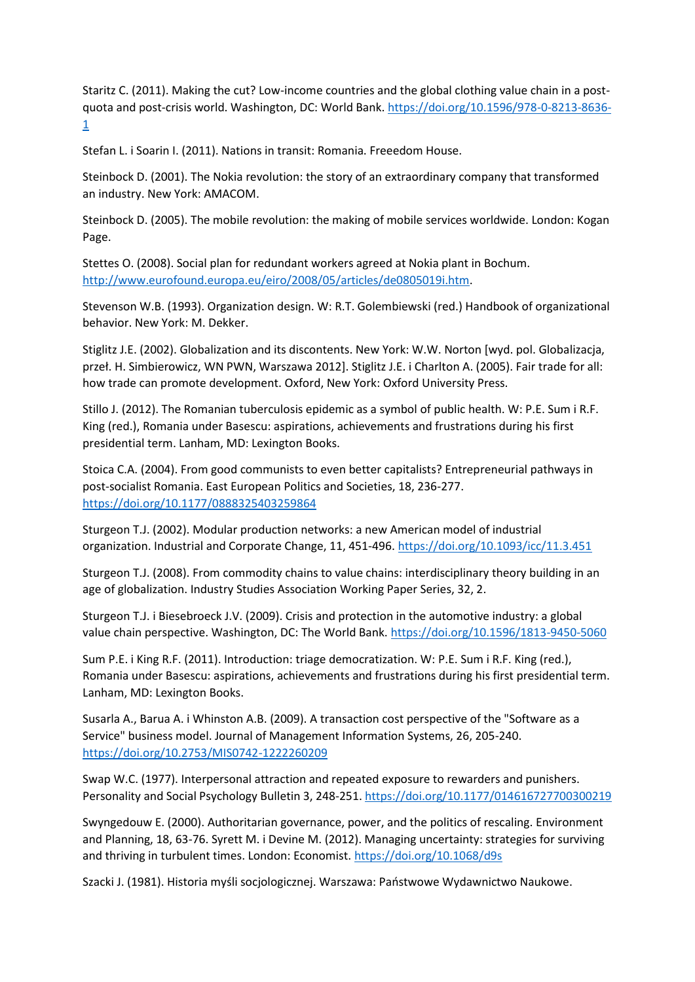Staritz C. (2011). Making the cut? Low-income countries and the global clothing value chain in a postquota and post-crisis world. Washington, DC: World Bank. [https://doi.org/10.1596/978-0-8213-8636-](https://doi.org/10.1596/978-0-8213-8636-1) [1](https://doi.org/10.1596/978-0-8213-8636-1)

Stefan L. i Soarin I. (2011). Nations in transit: Romania. Freeedom House.

Steinbock D. (2001). The Nokia revolution: the story of an extraordinary company that transformed an industry. New York: AMACOM.

Steinbock D. (2005). The mobile revolution: the making of mobile services worldwide. London: Kogan Page.

Stettes O. (2008). Social plan for redundant workers agreed at Nokia plant in Bochum. [http://www.eurofound.europa.eu/eiro/2008/05/articles/de0805019i.htm.](http://www.eurofound.europa.eu/eiro/2008/05/articles/de0805019i.htm)

Stevenson W.B. (1993). Organization design. W: R.T. Golembiewski (red.) Handbook of organizational behavior. New York: M. Dekker.

Stiglitz J.E. (2002). Globalization and its discontents. New York: W.W. Norton [wyd. pol. Globalizacja, przeł. H. Simbierowicz, WN PWN, Warszawa 2012]. Stiglitz J.E. i Charlton A. (2005). Fair trade for all: how trade can promote development. Oxford, New York: Oxford University Press.

Stillo J. (2012). The Romanian tuberculosis epidemic as a symbol of public health. W: P.E. Sum i R.F. King (red.), Romania under Basescu: aspirations, achievements and frustrations during his first presidential term. Lanham, MD: Lexington Books.

Stoica C.A. (2004). From good communists to even better capitalists? Entrepreneurial pathways in post-socialist Romania. East European Politics and Societies, 18, 236-277. <https://doi.org/10.1177/0888325403259864>

Sturgeon T.J. (2002). Modular production networks: a new American model of industrial organization. Industrial and Corporate Change, 11, 451-496. <https://doi.org/10.1093/icc/11.3.451>

Sturgeon T.J. (2008). From commodity chains to value chains: interdisciplinary theory building in an age of globalization. Industry Studies Association Working Paper Series, 32, 2.

Sturgeon T.J. i Biesebroeck J.V. (2009). Crisis and protection in the automotive industry: a global value chain perspective. Washington, DC: The World Bank. <https://doi.org/10.1596/1813-9450-5060>

Sum P.E. i King R.F. (2011). Introduction: triage democratization. W: P.E. Sum i R.F. King (red.), Romania under Basescu: aspirations, achievements and frustrations during his first presidential term. Lanham, MD: Lexington Books.

Susarla A., Barua A. i Whinston A.B. (2009). A transaction cost perspective of the "Software as a Service" business model. Journal of Management Information Systems, 26, 205-240. <https://doi.org/10.2753/MIS0742-1222260209>

Swap W.C. (1977). Interpersonal attraction and repeated exposure to rewarders and punishers. Personality and Social Psychology Bulletin 3, 248-251. <https://doi.org/10.1177/014616727700300219>

Swyngedouw E. (2000). Authoritarian governance, power, and the politics of rescaling. Environment and Planning, 18, 63-76. Syrett M. i Devine M. (2012). Managing uncertainty: strategies for surviving and thriving in turbulent times. London: Economist. <https://doi.org/10.1068/d9s>

Szacki J. (1981). Historia myśli socjologicznej. Warszawa: Państwowe Wydawnictwo Naukowe.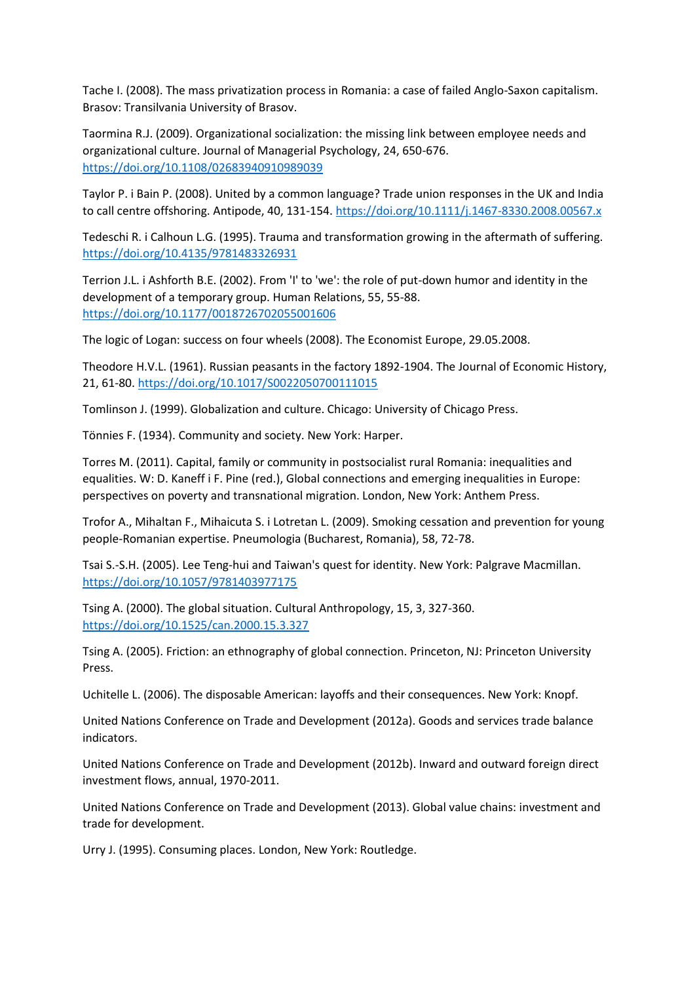Tache I. (2008). The mass privatization process in Romania: a case of failed Anglo-Saxon capitalism. Brasov: Transilvania University of Brasov.

Taormina R.J. (2009). Organizational socialization: the missing link between employee needs and organizational culture. Journal of Managerial Psychology, 24, 650-676. <https://doi.org/10.1108/02683940910989039>

Taylor P. i Bain P. (2008). United by a common language? Trade union responses in the UK and India to call centre offshoring. Antipode, 40, 131-154. <https://doi.org/10.1111/j.1467-8330.2008.00567.x>

Tedeschi R. i Calhoun L.G. (1995). Trauma and transformation growing in the aftermath of suffering. <https://doi.org/10.4135/9781483326931>

Terrion J.L. i Ashforth B.E. (2002). From 'I' to 'we': the role of put-down humor and identity in the development of a temporary group. Human Relations, 55, 55-88. <https://doi.org/10.1177/0018726702055001606>

The logic of Logan: success on four wheels (2008). The Economist Europe, 29.05.2008.

Theodore H.V.L. (1961). Russian peasants in the factory 1892-1904. The Journal of Economic History, 21, 61-80. <https://doi.org/10.1017/S0022050700111015>

Tomlinson J. (1999). Globalization and culture. Chicago: University of Chicago Press.

Tönnies F. (1934). Community and society. New York: Harper.

Torres M. (2011). Capital, family or community in postsocialist rural Romania: inequalities and equalities. W: D. Kaneff i F. Pine (red.), Global connections and emerging inequalities in Europe: perspectives on poverty and transnational migration. London, New York: Anthem Press.

Trofor A., Mihaltan F., Mihaicuta S. i Lotretan L. (2009). Smoking cessation and prevention for young people-Romanian expertise. Pneumologia (Bucharest, Romania), 58, 72-78.

Tsai S.-S.H. (2005). Lee Teng-hui and Taiwan's quest for identity. New York: Palgrave Macmillan. <https://doi.org/10.1057/9781403977175>

Tsing A. (2000). The global situation. Cultural Anthropology, 15, 3, 327-360. <https://doi.org/10.1525/can.2000.15.3.327>

Tsing A. (2005). Friction: an ethnography of global connection. Princeton, NJ: Princeton University Press.

Uchitelle L. (2006). The disposable American: layoffs and their consequences. New York: Knopf.

United Nations Conference on Trade and Development (2012a). Goods and services trade balance indicators.

United Nations Conference on Trade and Development (2012b). Inward and outward foreign direct investment flows, annual, 1970-2011.

United Nations Conference on Trade and Development (2013). Global value chains: investment and trade for development.

Urry J. (1995). Consuming places. London, New York: Routledge.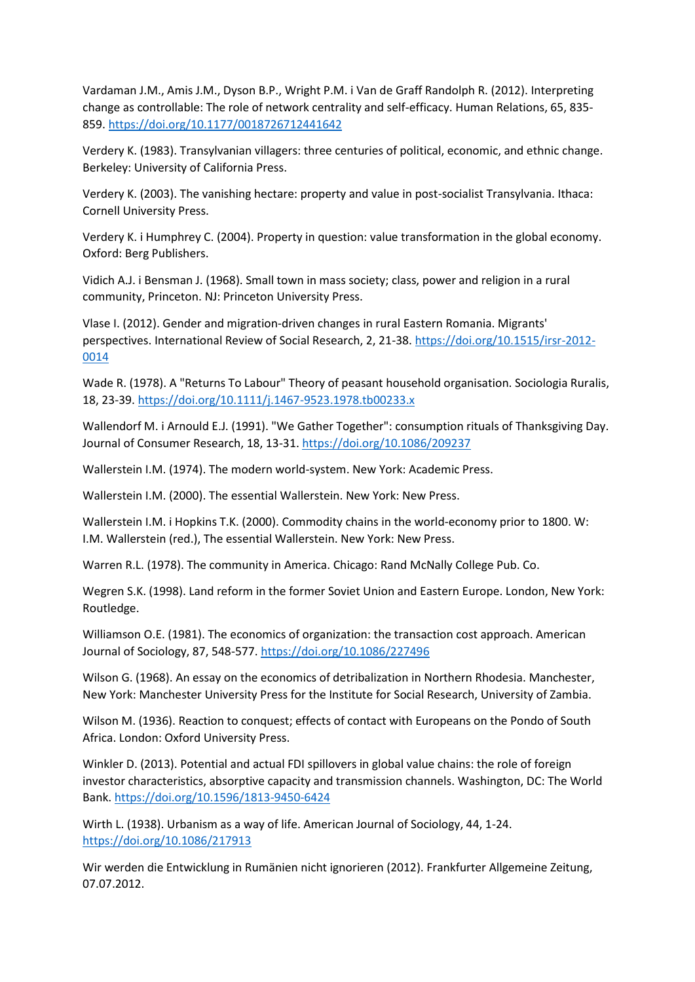Vardaman J.M., Amis J.M., Dyson B.P., Wright P.M. i Van de Graff Randolph R. (2012). Interpreting change as controllable: The role of network centrality and self-efficacy. Human Relations, 65, 835- 859. <https://doi.org/10.1177/0018726712441642>

Verdery K. (1983). Transylvanian villagers: three centuries of political, economic, and ethnic change. Berkeley: University of California Press.

Verdery K. (2003). The vanishing hectare: property and value in post-socialist Transylvania. Ithaca: Cornell University Press.

Verdery K. i Humphrey C. (2004). Property in question: value transformation in the global economy. Oxford: Berg Publishers.

Vidich A.J. i Bensman J. (1968). Small town in mass society; class, power and religion in a rural community, Princeton. NJ: Princeton University Press.

Vlase I. (2012). Gender and migration-driven changes in rural Eastern Romania. Migrants' perspectives. International Review of Social Research, 2, 21-38. [https://doi.org/10.1515/irsr-2012-](https://doi.org/10.1515/irsr-2012-0014) [0014](https://doi.org/10.1515/irsr-2012-0014)

Wade R. (1978). A "Returns To Labour" Theory of peasant household organisation. Sociologia Ruralis, 18, 23-39. <https://doi.org/10.1111/j.1467-9523.1978.tb00233.x>

Wallendorf M. i Arnould E.J. (1991). "We Gather Together": consumption rituals of Thanksgiving Day. Journal of Consumer Research, 18, 13-31. <https://doi.org/10.1086/209237>

Wallerstein I.M. (1974). The modern world-system. New York: Academic Press.

Wallerstein I.M. (2000). The essential Wallerstein. New York: New Press.

Wallerstein I.M. i Hopkins T.K. (2000). Commodity chains in the world-economy prior to 1800. W: I.M. Wallerstein (red.), The essential Wallerstein. New York: New Press.

Warren R.L. (1978). The community in America. Chicago: Rand McNally College Pub. Co.

Wegren S.K. (1998). Land reform in the former Soviet Union and Eastern Europe. London, New York: Routledge.

Williamson O.E. (1981). The economics of organization: the transaction cost approach. American Journal of Sociology, 87, 548-577. <https://doi.org/10.1086/227496>

Wilson G. (1968). An essay on the economics of detribalization in Northern Rhodesia. Manchester, New York: Manchester University Press for the Institute for Social Research, University of Zambia.

Wilson M. (1936). Reaction to conquest; effects of contact with Europeans on the Pondo of South Africa. London: Oxford University Press.

Winkler D. (2013). Potential and actual FDI spillovers in global value chains: the role of foreign investor characteristics, absorptive capacity and transmission channels. Washington, DC: The World Bank. <https://doi.org/10.1596/1813-9450-6424>

Wirth L. (1938). Urbanism as a way of life. American Journal of Sociology, 44, 1-24. <https://doi.org/10.1086/217913>

Wir werden die Entwicklung in Rumänien nicht ignorieren (2012). Frankfurter Allgemeine Zeitung, 07.07.2012.